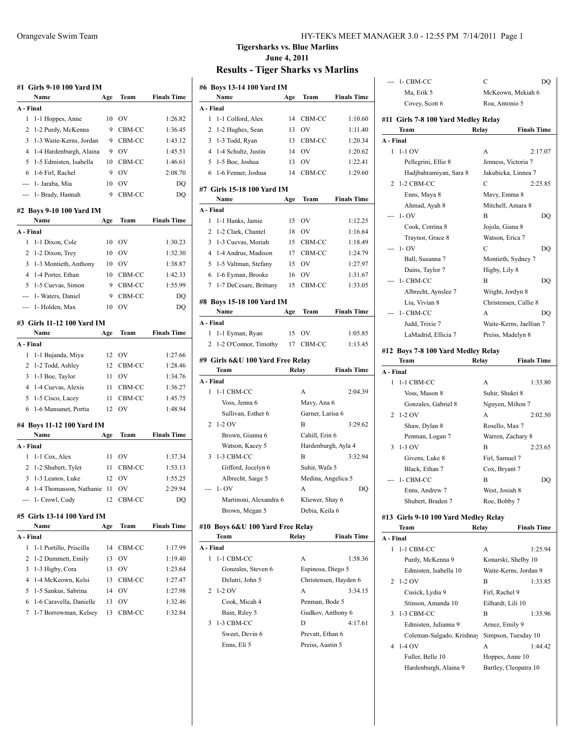| A - Final | Name                                             | Age      | Team         | <b>Finals Time</b> |
|-----------|--------------------------------------------------|----------|--------------|--------------------|
|           |                                                  |          |              |                    |
| 1         | 1-1 Hoppes, Anne                                 | 10       | OV           | 1:26.82            |
| 2         | 1-2 Purdy, McKenna                               | 9        | CBM-CC       | 1:36.45            |
| 3         | 1-3 Waite-Kerns, Jordan                          | 9        | CBM-CC       | 1:43.12            |
| 4         | 1-4 Hardenburgh, Alaina                          | 9        | OV           | 1:45.51            |
| 5         | 1-5 Edmisten, Isabella                           | 10       | CBM-CC       | 1:46.61            |
| 6         | 1-6 Firl, Rachel                                 | 9        | OV           | 2:08.70            |
|           | --- 1- Jaraba, Mia                               | 10       | OV           | DQ                 |
|           | --- 1- Brady, Hannah                             | 9        | CBM-CC       | DQ                 |
|           | #2 Boys 9-10 100 Yard IM                         |          |              |                    |
|           | Name                                             | Age      | Team         | <b>Finals Time</b> |
| A - Final |                                                  |          |              |                    |
| 1         | 1-1 Dixon, Cole                                  | 10       | <b>OV</b>    | 1:30.23            |
| 2         | 1-2 Dixon, Trey                                  |          | 10 OV        | 1:32.30            |
| 3         | 1-3 Montieth, Anthony                            |          | 10 OV        | 1:38.87            |
| 4         | 1-4 Porter, Ethan                                |          | 10 CBM-CC    | 1:42.33            |
| 5         | 1-5 Cuevas, Simon                                | 9        | CBM-CC       | 1:55.99            |
|           | --- 1- Waters, Daniel                            | 9        | CBM-CC       | DQ                 |
| $\cdots$  | 1- Holden, Max                                   | 10       | OV           | DQ                 |
|           | #3 Girls 11-12 100 Yard IM                       |          |              |                    |
|           | Name                                             | Age      | Team         | <b>Finals Time</b> |
| A - Final |                                                  |          |              |                    |
| 1         | 1-1 Bujanda, Miya                                | 12       | OV           | 1:27.66            |
| 2         | 1-2 Todd, Ashley                                 | 12       | CBM-CC       | 1:28.46            |
| 3         | 1-3 Boe, Taylor                                  | 11       | OV           | 1:34.76            |
| 4         | 1-4 Cuevas, Alexis                               | 11       | CBM-CC       | 1:36.27            |
|           | 1-5 Cisco, Lacey                                 | 11       | CBM-CC       | 1:45.75            |
| 5         |                                                  |          |              |                    |
| 6         | 1-6 Mansanet, Portia                             | 12       | OV           | 1:48.94            |
|           | #4 Boys 11-12 100 Yard IM                        |          |              |                    |
|           | Name                                             | Age      | Team         | <b>Finals Time</b> |
| A - Final |                                                  |          |              |                    |
| 1         | 1-1 Cox, Alex                                    | 11       | OV           | 1:37.34            |
| 2         | 1-2 Shubert, Tyler                               | 11       | CBM-CC       | 1:53.13            |
| 3         | 1-3 Leanos, Luke                                 | 12       | OV           | 1:55.25            |
| 4         | 1-4 Thomasson, Nathanie                          | 11       | OV           | 2:29.94            |
|           | --- 1- Crowl, Cody                               | 12       | CBM-CC       | DQ                 |
|           | #5  Girls 13-14 100 Yard IM                      |          |              |                    |
|           | Name                                             | Age      | Team         | <b>Finals Time</b> |
| A - Final |                                                  |          |              |                    |
| 1         | 1-1 Portillo, Priscilla                          | 14       | CBM-CC       | 1:17.99            |
| 2         | 1-2 Dummett, Emily                               | 13       | OV           | 1:19.40            |
| 3         | 1-3 Higby, Cora                                  | 13       | OV           | 1:23.64            |
| 4         | 1-4 McKeown, Kelsi                               | 13       | CBM-CC       | 1:27.47            |
| 5         | 1-5 Sankus, Sabrina                              | 14       | OV           | 1:27.98            |
| 6<br>7    | 1-6 Caravella, Danielle<br>1-7 Borrowman, Kelsey | 13<br>13 | OV<br>CBM-CC | 1:32.46<br>1:32.84 |

#### Orangevale Swim Team HY-TEK's MEET MANAGER 3.0 - 12:55 PM 7/14/2011 Page 1

#### **Tigersharks vs. Blue Marlins June 4, 2011 Results - Tiger Sharks vs Marlins**

|           |        | #6 Boys 13-14 100 Yard IM<br>Name | Age   | Team                  | <b>Finals Time</b> |
|-----------|--------|-----------------------------------|-------|-----------------------|--------------------|
|           |        |                                   |       |                       |                    |
| A - Final | 1      | 1-1 Colford, Alex                 | 14    |                       |                    |
|           | 2      | 1-2 Hughes, Sean                  | 13    | CBM-CC<br>OV          | 1:10.60<br>1:11.40 |
|           |        |                                   |       |                       | 1:20.34            |
|           |        | 3 1-3 Todd, Ryan                  | 13    | CBM-CC                |                    |
|           |        | 4 1-4 Schultz, Justin             | 14    | OV                    | 1:20.62            |
|           |        | 5 1-5 Boe, Joshua                 | 13    | OV                    | 1:22.41            |
|           | 6      | 1-6 Fenner, Joshua                | 14    | CBM-CC                | 1:29.60            |
|           |        | #7  Girls 15-18 100 Yard IM       |       |                       |                    |
|           |        | Name                              | Age   | Team                  | <b>Finals Time</b> |
| A - Final |        |                                   |       |                       |                    |
|           | 1      | 1-1 Hanks, Jamie                  | 15    | <b>OV</b>             | 1:12.25            |
|           |        | 2 1-2 Clark, Chantel              | 18    | OV                    | 1:16.64            |
|           |        | 3 1-3 Cuevas, Moriah              | 15    | CBM-CC                | 1:18.49            |
|           |        | 4 1-4 Andrus, Madison             | 17    | CBM-CC                | 1:24.79            |
|           |        | 5 1-5 Valtman, Stefany            | 15    | OV                    | 1:27.97            |
|           |        | 6 1-6 Eyman, Brooke               | 16    | OV                    | 1:31.67            |
|           | $\tau$ | 1-7 DeCesare, Brittany            | 15    | CBM-CC                | 1:33.05            |
|           |        |                                   |       |                       |                    |
|           |        | #8 Boys 15-18 100 Yard IM         |       |                       |                    |
|           |        | Name                              | Age   | Team                  | <b>Finals Time</b> |
| A - Final |        |                                   |       |                       |                    |
|           | 1      | 1-1 Eyman, Ryan                   | 15    | OV                    | 1:05.85            |
|           | 2      | 1-2 O'Connor, Timothy             | 17    | CBM-CC                | 1:13.45            |
|           |        | #9  Girls 6&U 100 Yard Free Relay |       |                       |                    |
|           |        | Team                              | Relay |                       | <b>Finals Time</b> |
| A - Final |        |                                   |       |                       |                    |
|           | 1      | 1-1 CBM-CC                        |       | А                     | 2:04.39            |
|           |        | Voss, Jenna 6                     |       | Mavy, Ana 6           |                    |
|           |        | Sullivan, Esther 6                |       | Garner, Larisa 6      |                    |
|           | 2      | 1-2 OV                            |       | B                     | 3:29.62            |
|           |        | Brown, Gianna 6                   |       | Cahill, Erin 6        |                    |
|           |        | Watson, Kacey 5                   |       | Hardenburgh, Ayla 4   |                    |
|           | 3      | 1-3 CBM-CC                        |       | B                     | 3:32.94            |
|           |        | Gifford, Jocelyn 6                |       |                       |                    |
|           |        |                                   |       |                       |                    |
|           |        |                                   |       | Suhir, Wafa 5         |                    |
|           |        | Albrecht, Saige 5                 |       | Medina, Angelica 5    |                    |
|           |        | $-1-OV$                           |       | А                     | DQ                 |
|           |        | Martinoni, Alexandra 6            |       | Kliewer, Shay 6       |                    |
|           |        | Brown, Megan 5                    |       | Debia, Keila 6        |                    |
|           |        | #10 Boys 6&U 100 Yard Free Relay  |       |                       |                    |
|           |        | Team                              | Relay |                       | <b>Finals Time</b> |
| A - Final |        |                                   |       |                       |                    |
|           | 1      | 1-1 CBM-CC                        |       | A                     | 1:58.36            |
|           |        | Gonzales, Steven 6                |       | Espinosa, Diego 5     |                    |
|           |        | Delutri, John 5                   |       | Christensen, Hayden 6 |                    |
|           | 2      | $1-2$ OV                          |       | A                     | 3:34.15            |
|           |        | Cook, Micah 4                     |       | Penman, Bode 5        |                    |
|           |        | Bain, Riley 5                     |       | Gudkov, Anthony 6     |                    |
|           | 3      | 1-3 CBM-CC                        |       | D                     | 4:17.61            |
|           |        | Sweet, Devin 6                    |       | Prevatt, Ethan 6      |                    |
|           |        | Enns, Eli 5                       |       | Preiss, Austin 5      |                    |

|                | 1- CBM-CC                                 | С<br>DQ                                      |
|----------------|-------------------------------------------|----------------------------------------------|
|                | Ma, Erik 5                                | McKeown, Mekiah 6                            |
|                | Covey, Scott 6                            | Roa, Antonio 5                               |
|                | #11  Girls 7-8 100 Yard Medley Relay      |                                              |
|                | Team                                      | <b>Finals Time</b><br>Relay                  |
| A - Final      |                                           |                                              |
| 1              | $1-1$ OV                                  | A<br>2:17.07                                 |
|                | Pellegrini, Ellie 8                       | Jenness, Victoria 7                          |
|                | Hadjbahramiyan, Sara 8                    | Jakubicka, Linnea 7                          |
| 2              | 1-2 CBM-CC                                | С<br>2:25.85                                 |
|                | Enns, Maya 8                              | Mavy, Emma 8                                 |
|                | Ahmad, Ayah 8                             | Mitchell, Amara 8                            |
|                | $1 - OV$                                  | B<br>DQ                                      |
|                | Cook, Corrina 8                           | Jojola, Giana 8                              |
|                | Traynor, Grace 8                          | Watson, Erica 7                              |
| --             | $1 - OV$                                  | С<br>DQ                                      |
|                | Ball, Susanna 7                           | Montieth, Sydney 7                           |
|                | Dains, Taylor 7                           | Higby, Lily 8                                |
|                | 1- CBM-CC                                 | B<br>DO                                      |
|                | Albrecht, Aynslee 7                       | Wright, Jordyn 8                             |
|                | Liu, Vivian 8                             | Christensen, Callie 8                        |
|                | 1- CBM-CC                                 | A<br>DO                                      |
|                | Judd, Trixie 7                            | Waite-Kerns, Jaellian 7                      |
|                | LaMadrid, Ellicia 7                       | Preiss, Madelyn 8                            |
|                | #12 Boys 7-8 100 Yard Medley Relay        |                                              |
|                | Team                                      | Relay<br><b>Finals Time</b>                  |
| A - Final      |                                           |                                              |
| 1              | 1-1 CBM-CC                                | A<br>1:33.80                                 |
|                | Voss, Mason 8                             | Suhir, Shukri 8                              |
|                | Gonzales, Gabriel 8                       | Nguyen, Milton 7                             |
| 2              | $1-2$ OV                                  | A<br>2:02.50                                 |
|                | Shaw, Dylan 8                             | Rosello, Max 7                               |
|                | Penman, Logan 7                           | Warren, Zachary 8                            |
| 3              | 1-3 OV                                    | 2:23.65<br>B                                 |
|                | Givens, Luke 8                            | Firl, Samuel 7                               |
|                | Black, Ethan 7                            | Cox, Bryant 7                                |
|                | 1- CBM-CC                                 | В<br>DQ                                      |
|                | Enns, Andrew 7<br>Shubert, Braden 7       | West, Josiah 8<br>Roe, Bobby 7               |
|                |                                           |                                              |
|                | #13  Girls 9-10 100 Yard Medley Relay     |                                              |
|                | Team                                      | <b>Finals Time</b><br>Relay                  |
| A - Final<br>1 |                                           |                                              |
|                | 1-1 CBM-CC                                | 1:25.94<br>А                                 |
|                | Purdy, McKenna 9<br>Edmisten, Isabella 10 | Konarski, Shelby 10<br>Waite-Kerns, Jordan 9 |
| 2              | $1-2$ OV                                  | B<br>1:33.85                                 |
|                | Cusick, Lydia 9                           | Firl, Rachel 9                               |
|                | Stinson, Amanda 10                        | Eilhardt, Lili 10                            |
| 3              | 1-3 CBM-CC                                | 1:35.96<br>В                                 |
|                | Edmisten, Julianna 9                      | Arnez, Emily 9                               |
|                | Coleman-Salgado, Krishnay                 | Simpson, Tuesday 10                          |
| 4              | 1-4 OV                                    | 1:44.42<br>А                                 |
|                | Fuller, Belle 10                          | Hoppes, Anne 10                              |
|                | Hardenburgh, Alaina 9                     | Bartley, Cleopatra 10                        |
|                |                                           |                                              |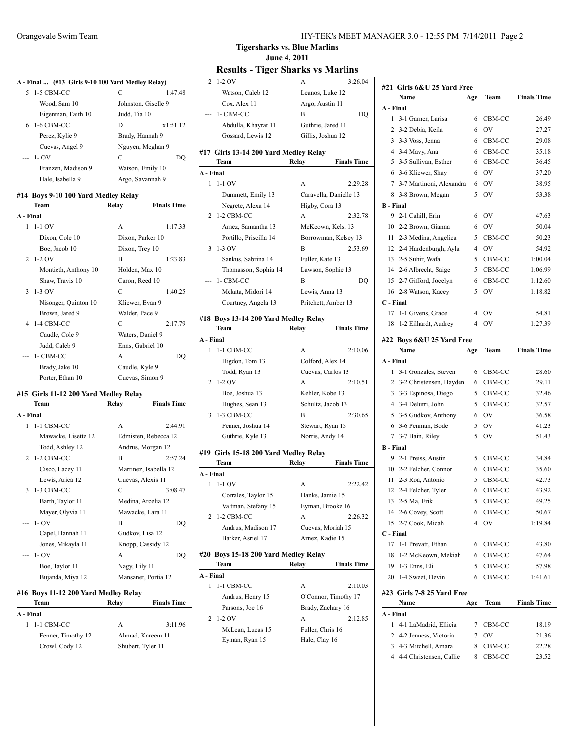|           | A - Final  (#13 Girls 9-10 100 Yard Medley Relay) |                     |                    |
|-----------|---------------------------------------------------|---------------------|--------------------|
| 5         | 1-5 CBM-CC                                        | C                   | 1:47.48            |
|           | Wood, Sam 10                                      | Johnston, Giselle 9 |                    |
|           | Eigenman, Faith 10                                | Judd, Tia 10        |                    |
| 6         | 1-6 CBM-CC                                        | D                   | x1:51.12           |
|           | Perez, Kylie 9                                    | Brady, Hannah 9     |                    |
|           | Cuevas, Angel 9                                   | Nguyen, Meghan 9    |                    |
|           | $1 - OV$                                          | C                   | DO                 |
|           | Franzen, Madison 9                                | Watson, Emily 10    |                    |
|           | Hale, Isabella 9                                  | Argo, Savannah 9    |                    |
|           | #14 Boys 9-10 100 Yard Medley Relay               |                     |                    |
|           | Team                                              | Relay               | <b>Finals Time</b> |
| A - Final |                                                   |                     |                    |
| 1         | $1-1$ OV                                          | A                   | 1:17.33            |
|           | Dixon, Cole 10                                    | Dixon, Parker 10    |                    |
|           | Boe, Jacob 10                                     | Dixon, Trey 10      |                    |
| 2         | $1-2$ OV                                          | B                   | 1:23.83            |
|           | Montieth, Anthony 10                              | Holden, Max 10      |                    |
|           | Shaw, Travis 10                                   | Caron, Reed 10      |                    |
| 3         | 1-3 OV                                            | C                   | 1:40.25            |
|           | Nisonger, Quinton 10                              | Kliewer, Evan 9     |                    |
|           | Brown, Jared 9                                    | Walder, Pace 9      |                    |
| 4         | 1-4 CBM-CC                                        | C                   | 2:17.79            |
|           | Caudle, Cole 9                                    | Waters, Daniel 9    |                    |
|           | Judd, Caleb 9                                     | Enns, Gabriel 10    |                    |
|           | 1- CBM-CC                                         | A                   | DO                 |
|           | Brady, Jake 10                                    | Caudle, Kyle 9      |                    |
|           | Porter, Ethan 10                                  | Cuevas, Simon 9     |                    |
|           | #15 Girls 11-12 200 Yard Medley Relay             |                     |                    |
|           | Team                                              | Relay               | <b>Finals Time</b> |
|           |                                                   |                     |                    |

| A - Final |                     |                       |         |
|-----------|---------------------|-----------------------|---------|
| 1         | 1-1 CBM-CC          | A                     | 2:44.91 |
|           | Mawacke, Lisette 12 | Edmisten, Rebecca 12  |         |
|           | Todd, Ashley 12     | Andrus, Morgan 12     |         |
|           | 2 1-2 CBM-CC        | R                     | 2:57.24 |
|           | Cisco, Lacey 11     | Martinez, Isabella 12 |         |
|           | Lewis, Arica 12     | Cuevas, Alexis 11     |         |
|           | 3 1-3 CBM-CC        | C                     | 3:08.47 |
|           | Barth, Taylor 11    | Medina, Arcelia 12    |         |
|           | Mayer, Olyvia 11    | Mawacke, Lara 11      |         |
|           | $-1-OV$             | R                     | DO      |
|           | Capel, Hannah 11    | Gudkov, Lisa 12       |         |
|           | Jones, Mikayla 11   | Knopp, Cassidy 12     |         |
|           | --- 1- OV           | A                     | DO)     |
|           | Boe, Taylor 11      | Nagy, Lily 11         |         |
|           | Bujanda, Miya 12    | Mansanet, Portia 12   |         |
|           |                     |                       |         |

#### **#16 Boys 11-12 200 Yard Medley Relay**

| Team               | Relay | <b>Finals Time</b> |
|--------------------|-------|--------------------|
| A - Final          |       |                    |
| 1 1-1 CBM-CC       | А     | 3:11.96            |
| Fenner, Timothy 12 |       | Ahmad, Kareem 11   |
| Crowl, Cody 12     |       | Shubert, Tyler 11  |
|                    |       |                    |

#### **Tigersharks vs. Blue Marlins June 4, 2011**

#### **Results - Tiger Sharks vs Marlins** 2 1-2 OV A 3:26.04

Watson, Caleb 12 Leanos, Luke 12

|                | Cox, Alex 11                           | Argo, Austin 11     |                        |
|----------------|----------------------------------------|---------------------|------------------------|
|                | 1- CBM-CC                              | В                   | DQ                     |
|                | Abdulla, Khayrat 11                    | Guthrie, Jared 11   |                        |
|                | Gossard, Lewis 12                      | Gillis, Joshua 12   |                        |
|                |                                        |                     |                        |
|                | #17  Girls 13-14 200 Yard Medley Relay |                     |                        |
|                | Team                                   | Relay               | <b>Finals Time</b>     |
| A - Final      | 1 1-1 OV                               | A                   | 2:29.28                |
|                | Dummett, Emily 13                      |                     | Caravella, Danielle 13 |
|                |                                        |                     |                        |
|                | Negrete, Alexa 14                      | Higby, Cora 13      |                        |
| 2              | 1-2 CBM-CC                             | A                   | 2:32.78                |
|                | Arnez, Samantha 13                     | McKeown, Kelsi 13   |                        |
|                | Portillo, Priscilla 14                 |                     | Borrowman, Kelsey 13   |
| 3              | 1-3 OV                                 | B                   | 2:53.69                |
|                | Sankus, Sabrina 14                     | Fuller, Kate 13     |                        |
|                | Thomasson, Sophia 14                   | Lawson, Sophie 13   |                        |
|                | 1- CBM-CC                              | B                   | DQ                     |
|                | Mekata, Midori 14                      | Lewis, Anna 13      |                        |
|                | Courtney, Angela 13                    | Pritchett, Amber 13 |                        |
|                | #18 Boys 13-14 200 Yard Medley Relay   |                     |                        |
|                | Team                                   | Relay               | <b>Finals Time</b>     |
| A - Final      |                                        |                     |                        |
| 1              | 1-1 CBM-CC                             | A                   | 2:10.06                |
|                | Higdon, Tom 13                         | Colford, Alex 14    |                        |
|                | Todd, Ryan 13                          | Cuevas, Carlos 13   |                        |
| 2              | $1-2$ OV                               | A                   | 2:10.51                |
|                | Boe, Joshua 13                         | Kehler, Kobe 13     |                        |
|                | Hughes, Sean 13                        | Schultz, Jacob 13   |                        |
| 3              | 1-3 CBM-CC                             | B                   | 2:30.65                |
|                | Fenner, Joshua 14                      | Stewart, Ryan 13    |                        |
|                | Guthrie, Kyle 13                       | Norris, Andy 14     |                        |
|                | #19  Girls 15-18 200 Yard Medley Relay |                     |                        |
|                | Team                                   | Relay               | <b>Finals Time</b>     |
| A - Final      |                                        |                     |                        |
| 1              | $1-1$ OV                               | A                   | 2:22.42                |
|                | Corrales, Taylor 15                    | Hanks, Jamie 15     |                        |
|                | Valtman, Stefany 15                    | Eyman, Brooke 16    |                        |
| $\overline{2}$ | 1-2 CBM-CC                             | A                   | 2:26.32                |
|                | Andrus, Madison 17                     | Cuevas, Moriah 15   |                        |
|                | Barker, Asriel 17                      | Arnez, Kadie 15     |                        |
|                |                                        |                     |                        |
|                | #20 Boys 15-18 200 Yard Medley Relay   |                     |                        |
|                | Team                                   | Relay               | <b>Finals Time</b>     |
| A - Final      |                                        |                     |                        |
| 1              | 1-1 CBM-CC                             | A                   | 2:10.03                |
|                | Andrus, Henry 15                       |                     | O'Connor, Timothy 17   |
|                | Parsons, Joe 16                        | Brady, Zachary 16   |                        |
| 2              | $1-2$ OV                               | A                   | 2:12.85                |
|                | McLean, Lucas 15                       | Fuller, Chris 16    |                        |
|                | Eyman, Ryan 15                         | Hale, Clay 16       |                        |

|                  | #21 Girls 6&U 25 Yard Free<br>Name | Age | Team         | <b>Finals Time</b> |
|------------------|------------------------------------|-----|--------------|--------------------|
| A - Final        |                                    |     |              |                    |
| 1                | 3-1 Garner, Larisa                 | 6   | CBM-CC       | 26.49              |
| 2                | 3-2 Debia, Keila                   | 6   | OV           | 27.27              |
| 3                | 3-3 Voss, Jenna                    | 6   | CBM-CC       | 29.08              |
| 4                | 3-4 Mavy, Ana                      | 6   | CBM-CC       | 35.18              |
| 5                | 3-5 Sullivan, Esther               | 6   | CBM-CC       | 36.45              |
| 6                | 3-6 Kliewer, Shay                  | 6   | <b>OV</b>    | 37.20              |
| 7                | 3-7 Martinoni, Alexandra           | 6   | <b>OV</b>    | 38.95              |
| 8                | 3-8 Brown, Megan                   | 5   | OV           | 53.38              |
| <b>B</b> - Final |                                    |     |              |                    |
| 9                | 2-1 Cahill, Erin                   | 6   | <b>OV</b>    | 47.63              |
|                  | 10 2-2 Brown, Gianna               | 6   | OV           | 50.04              |
| 11               | 2-3 Medina, Angelica               | 5   | CBM-CC       | 50.23              |
|                  | 12 2-4 Hardenburgh, Ayla           | 4   | <b>OV</b>    | 54.92              |
|                  | 13 2-5 Suhir, Wafa                 | 5   | CBM-CC       | 1:00.04            |
|                  |                                    | 5   |              |                    |
|                  | 14 2-6 Albrecht, Saige             |     | CBM-CC       | 1:06.99            |
| 15               | 2-7 Gifford, Jocelyn               | 6   | CBM-CC<br>OV | 1:12.60            |
|                  | 16 2-8 Watson, Kacey               | 5   |              | 1:18.82            |
| C - Final        |                                    |     |              |                    |
| 17               | 1-1 Givens, Grace                  | 4   | OV           | 54.81              |
| 18               | 1-2 Eilhardt, Audrey               | 4   | OV           | 1:27.39            |
|                  | #22 Boys 6&U 25 Yard Free          |     |              |                    |
|                  | Name                               | Age | Team         | <b>Finals Time</b> |
| A - Final        |                                    |     |              |                    |
| 1                | 3-1 Gonzales, Steven               | 6   | CBM-CC       | 28.60              |
| 2                | 3-2 Christensen, Hayden            | 6   | CBM-CC       | 29.11              |
| 3                | 3-3 Espinosa, Diego                | 5   | CBM-CC       | 32.46              |
| 4                | 3-4 Delutri, John                  | 5   | CBM-CC       | 32.57              |
| 5                | 3-5 Gudkov, Anthony                | 6   | <b>OV</b>    | 36.58              |
| 6                | 3-6 Penman, Bode                   | 5   | <b>OV</b>    | 41.23              |
| 7                | 3-7 Bain, Riley                    | 5   | OV           | 51.43              |
| <b>B</b> - Final |                                    |     |              |                    |
| 9                | 2-1 Preiss, Austin                 | 5   | CBM-CC       | 34.84              |
|                  | 10 2-2 Felcher, Connor             | 6   | CBM-CC       | 35.60              |
| 11               | 2-3 Roa, Antonio                   | 5   | CBM-CC       | 42.73              |
| 12               | 2-4 Felcher, Tyler                 | 6   | CBM-CC       | 43.92              |
|                  | 13 2-5 Ma, Erik                    |     | 5 CBM-CC     | 49.25              |
|                  | 14 2-6 Covey, Scott                | 6   | CBM-CC       | 50.67              |
|                  | 15 2-7 Cook, Micah                 | 4   | <b>OV</b>    | 1:19.84            |
| C - Final        |                                    |     |              |                    |
| 17               | 1-1 Prevatt, Ethan                 | 6   | CBM-CC       | 43.80              |
| 18               | 1-2 McKeown, Mekiah                |     | 6 CBM-CC     | 47.64              |
|                  | 19 1-3 Enns, Eli                   |     | 5 CBM-CC     | 57.98              |
|                  | 20 1-4 Sweet, Devin                | 6   | CBM-CC       | 1:41.61            |
|                  |                                    |     |              |                    |
|                  | #23 Girls 7-8 25 Yard Free         |     |              |                    |
|                  | Name                               | Age | Team         | <b>Finals Time</b> |
| A - Final        |                                    |     |              |                    |
| 1                | 4-1 LaMadrid, Ellicia              |     | 7 CBM-CC     | 18.19              |
|                  | 2 4-2 Jenness, Victoria            |     | 7 OV         | 21.36              |
|                  | 3 4-3 Mitchell, Amara              | 8   | CBM-CC       | 22.28              |
|                  | 4 4-4 Christensen, Callie          |     | 8 CBM-CC     | 23.52              |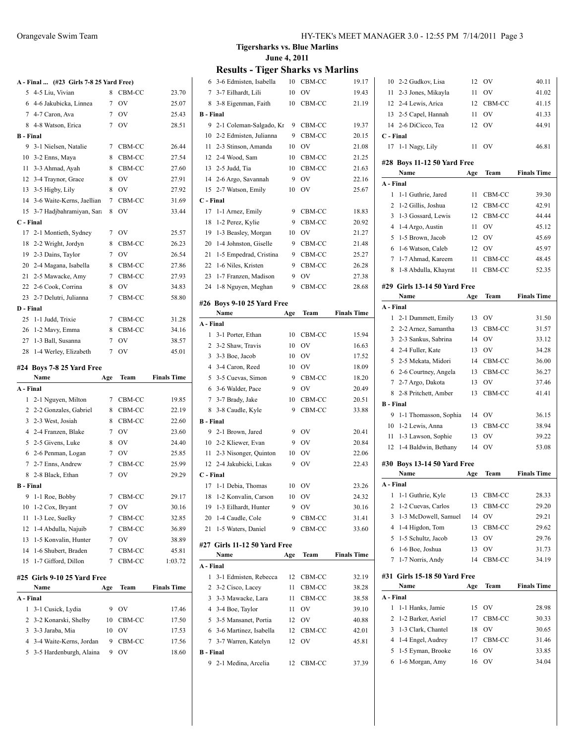### **A - Final ... (#23 Girls 7-8 25 Yard Free)**

|                  |                             | $\frac{1}{2}$ |           |                    |
|------------------|-----------------------------|---------------|-----------|--------------------|
|                  | 5 4-5 Liu, Vivian           | 8             | CBM-CC    | 23.70              |
|                  | 6 4-6 Jakubicka, Linnea     | 7             | <b>OV</b> | 25.07              |
|                  | 7 4-7 Caron, Ava            | 7             | <b>OV</b> | 25.43              |
|                  | 8 4-8 Watson, Erica         | 7             | <b>OV</b> | 28.51              |
| <b>B</b> - Final |                             |               |           |                    |
|                  | 9 3-1 Nielsen, Natalie      | 7             | CBM-CC    | 26.44              |
|                  | 10 3-2 Enns, Maya           | 8             | CBM-CC    | 27.54              |
| 11               | 3-3 Ahmad, Ayah             | 8             | CBM-CC    | 27.60              |
| 12               | 3-4 Traynor, Grace          | 8             | OV        | 27.91              |
|                  | 13 3-5 Higby, Lily          | 8             | OV        | 27.92              |
| 14               | 3-6 Waite-Kerns, Jaellian   | 7             | CBM-CC    | 31.69              |
| 15               | 3-7 Hadjbahramiyan, Sara    | 8             | OV        | 33.44              |
| C - Final        |                             |               |           |                    |
| 17               | 2-1 Montieth, Sydney        | 7             | <b>OV</b> | 25.57              |
|                  | 18 2-2 Wright, Jordyn       | 8             | CBM-CC    | 26.23              |
|                  | 19 2-3 Dains, Taylor        | 7             | <b>OV</b> | 26.54              |
|                  | 20 2-4 Magana, Isabella     | 8             | CBM-CC    | 27.86              |
|                  | 21 2-5 Mawacke, Amy         | 7             | CBM-CC    | 27.93              |
|                  | 22 2-6 Cook, Corrina        | 8             | OV        | 34.83              |
|                  | 23 2-7 Delutri, Julianna    | 7             | CBM-CC    | 58.80              |
| D - Final        |                             |               |           |                    |
|                  | 25 1-1 Judd, Trixie         | 7             | CBM-CC    | 31.28              |
|                  | 26 1-2 Mavy, Emma           | 8             | CBM-CC    | 34.16              |
|                  | 27 1-3 Ball, Susanna        | 7             | OV        | 38.57              |
|                  | 28 1-4 Werley, Elizabeth    | 7             | <b>OV</b> | 45.01              |
|                  |                             |               |           |                    |
|                  | #24 Boys 7-8 25 Yard Free   |               |           |                    |
|                  | Name                        | Age           | Team      | <b>Finals Time</b> |
| A - Final        |                             |               |           |                    |
|                  |                             |               |           |                    |
| 1                | 2-1 Nguyen, Milton          | 7             | CBM-CC    | 19.85              |
|                  | 2 2-2 Gonzales, Gabriel     | 8             | CBM-CC    | 22.19              |
| 3                | 2-3 West, Josiah            | 8             | CBM-CC    | 22.60              |
|                  | 4 2-4 Franzen, Blake        | 7             | <b>OV</b> | 23.60              |
| 5                | 2-5 Givens, Luke            | 8             | <b>OV</b> | 24.40              |
|                  | 6 2-6 Penman, Logan         | 7             | OV        | 25.85              |
|                  | 7 2-7 Enns, Andrew          | 7             | CBM-CC    | 25.99              |
|                  | 8 2-8 Black, Ethan          | 7             | OV        | 29.29              |
| <b>B</b> - Final |                             |               |           |                    |
|                  | 9 1-1 Roe, Bobby            | 7             | CBM-CC    | 29.17              |
| 10               | 1-2 Cox, Bryant             | 7             | OV        | 30.16              |
| 11               | 1-3 Lee, Suelky             | 7             | CBM-CC    | 32.85              |
| 12               | 1-4 Abdulla, Najuib         | 7             | CBM-CC    | 36.89              |
| 13               | 1-5 Konvalin, Hunter        | 7             | <b>OV</b> | 38.89              |
| 14               | 1-6 Shubert, Braden         | 7             | CBM-CC    | 45.81              |
| 15               | 1-7 Gifford, Dillon         | 7             | CBM-CC    | 1:03.72            |
|                  |                             |               |           |                    |
|                  | #25 Girls 9-10 25 Yard Free |               |           |                    |
|                  | Name                        | Age           | Team      | <b>Finals Time</b> |
| A - Final        |                             |               |           |                    |
| 1                | 3-1 Cusick, Lydia           | 9             | OV        | 17.46              |
| 2                | 3-2 Konarski, Shelby        | 10            | CBM-CC    | 17.50              |
| 3                | 3-3 Jaraba, Mia             | 10            | OV        | 17.53              |
| 4                | 3-4 Waite-Kerns, Jordan     | 9             | CBM-CC    | 17.56              |
| 5                | 3-5 Hardenburgh, Alaina     | 9             | OV        | 18.60              |

#### **Tigersharks vs. Blue Marlins June 4, 2011**

| 6                | 3-6 Edmisten, Isabella       | 10  | CBM-CC          | 19.17              |
|------------------|------------------------------|-----|-----------------|--------------------|
|                  | 7 3-7 Eilhardt, Lili         | 10  | <b>OV</b>       | 19.43              |
| 8                | 3-8 Eigenman, Faith          | 10  | CBM-CC          | 21.19              |
| B - Final        |                              |     |                 |                    |
| 9                | 2-1 Coleman-Salgado, Kr      | 9   | CBM-CC          | 19.37              |
|                  | 10 2-2 Edmisten, Julianna    | 9   | CBM-CC          | 20.15              |
|                  | 11 2-3 Stinson, Amanda       | 10  | <sub>OV</sub>   | 21.08              |
|                  | 12 2-4 Wood, Sam             | 10  | CBM-CC          | 21.25              |
|                  | 13 2-5 Judd, Tia             | 10  | CBM-CC          | 21.63              |
|                  | 14 2-6 Argo, Savannah        | 9   | OV              | 22.16              |
| 15               | 2-7 Watson, Emily            | 10  | <b>OV</b>       | 25.67              |
| C - Final        |                              |     |                 |                    |
| 17               | 1-1 Arnez, Emily             | 9   | CBM-CC          | 18.83              |
| 18               | 1-2 Perez, Kylie             | 9   | CBM-CC          | 20.92              |
| 19               | 1-3 Beasley, Morgan          | 10  | <b>OV</b>       | 21.27              |
| 20               | 1-4 Johnston, Giselle        | 9   | CBM-CC          | 21.48              |
| 21               | 1-5 Empedrad, Cristina       | 9   | CBM-CC          | 25.27              |
| 22               | 1-6 Niles, Kristen           | 9   | CBM-CC          | 26.28              |
| 23               | 1-7 Franzen, Madison         | 9   | OV              | 27.38              |
| 24               | 1-8 Nguyen, Meghan           | 9   | CBM-CC          | 28.68              |
|                  |                              |     |                 |                    |
|                  | #26 Boys 9-10 25 Yard Free   |     |                 |                    |
|                  | Name                         | Age | Team            | <b>Finals Time</b> |
| A - Final        |                              |     |                 |                    |
| 1                | 3-1 Porter, Ethan            | 10  | CBM-CC          | 15.94              |
|                  | 2 3-2 Shaw, Travis           | 10  | OV              | 16.63              |
|                  | 3 3-3 Boe, Jacob             | 10  | OV              | 17.52              |
|                  | 4 3-4 Caron, Reed            | 10  | OV              | 18.09              |
|                  | 5 3-5 Cuevas, Simon          | 9   | CBM-CC          | 18.20              |
|                  | 6 3-6 Walder, Pace           | 9   | OV              | 20.49              |
|                  | 7 3-7 Brady, Jake            | 10  | CBM-CC          | 20.51              |
|                  | 8 3-8 Caudle, Kyle           | 9   | CBM-CC          | 33.88              |
| <b>B</b> - Final |                              |     |                 |                    |
| 9                | 2-1 Brown, Jared             | 9   | <b>OV</b>       | 20.41              |
|                  | 10 2-2 Kliewer, Evan         | 9   | OV              | 20.84              |
| 11               | 2-3 Nisonger, Quinton        | 10  | OV              | 22.06              |
|                  | 12 2-4 Jakubicki, Lukas      | 9   | OV              | 22.43              |
| C - Final        |                              |     |                 |                    |
| 17               | 1-1 Debia, Thomas            | 10  | OV              | 23.26              |
|                  | 18 1-2 Konvalin, Carson      |     | 10 OV           | 24.32              |
| 19               | 1-3 Eilhardt, Hunter         | 9   | OV              | 30.16              |
| 20               | 1-4 Caudle, Cole             | 9   | CBM-CC          | 31.41              |
| 21               | 1-5 Waters, Daniel           | 9   | CBM-CC          | 33.60              |
|                  | #27 Girls 11-12 50 Yard Free |     |                 |                    |
|                  | Name                         | Age | Team            | <b>Finals Time</b> |
| A - Final        |                              |     |                 |                    |
| 1                | 3-1 Edmisten, Rebecca        | 12  | CBM-CC          | 32.19              |
| $\mathbf{2}$     | 3-2 Cisco, Lacey             | 11  | CBM-CC          | 38.28              |
| 3                | 3-3 Mawacke, Lara            | 11  | CBM-CC          | 38.58              |
|                  |                              | 11  | OV              | 39.10              |
|                  | 4 3-4 Boe, Taylor            |     |                 |                    |
|                  | 5 3-5 Mansanet, Portia       | 12  | 12 OV<br>CBM-CC | 40.88              |
| $\tau$           | 6 3-6 Martinez, Isabella     |     |                 | 42.01              |
| <b>B</b> - Final | 3-7 Warren, Katelyn          | 12  | OV              | 45.81              |
| 9                |                              |     |                 |                    |
|                  | 2-1 Medina, Arcelia          | 12  | CBM-CC          | 37.39              |

| 4<br>5<br>6      | 1-5 Eyman, Brooke<br>1-6 Morgan, Amy | 16<br>16 | OV<br>OV  | 33.85<br>34.04     |
|------------------|--------------------------------------|----------|-----------|--------------------|
|                  |                                      |          |           |                    |
|                  |                                      |          |           |                    |
|                  | 1-4 Engel, Audrey                    | 17       | CBM-CC    | 31.46              |
| 3                | 1-3 Clark, Chantel                   | 18       | OV        | 30.65              |
|                  | 1-2 Barker, Asriel                   | 17       | CBM-CC    | 30.33              |
| 2                | 1-1 Hanks, Jamie                     | 15       | OV        | 28.98              |
| 1                |                                      |          |           |                    |
| A - Final        |                                      |          |           |                    |
|                  | #31 Girls 15-18 50 Yard Free<br>Name | Age      | Team      | <b>Finals Time</b> |
|                  |                                      |          |           |                    |
| 7                | 1-7 Norris, Andy                     | 14       | CBM-CC    | 34.19              |
| 6                | 1-6 Boe, Joshua                      | 13       | OV        | 31.73              |
| 5                | 1-5 Schultz, Jacob                   | 13       | OV        | 29.76              |
| 4                | 1-4 Higdon, Tom                      | 13       | CBM-CC    | 29.62              |
| 3                | 1-3 McDowell, Samuel                 | 14       | OV        | 29.21              |
| 2                | 1-2 Cuevas, Carlos                   | 13       | CBM-CC    | 29.20              |
| 1                | 1-1 Guthrie, Kyle                    | 13       | CBM-CC    | 28.33              |
| A - Final        |                                      |          |           |                    |
|                  | Name                                 | Age      | Team      | <b>Finals Time</b> |
|                  | #30 Boys 13-14 50 Yard Free          |          |           |                    |
| 12               | 1-4 Baldwin, Bethany                 | 14       | OV        | 53.08              |
| 11               | 1-3 Lawson, Sophie                   | 13       | OV        | 39.22              |
| 10               | 1-2 Lewis, Anna                      | 13       | CBM-CC    | 38.94              |
| 9                | 1-1 Thomasson, Sophia                | 14       | OV        | 36.15              |
| <b>B</b> - Final |                                      |          |           |                    |
| 8                | 2-8 Pritchett, Amber                 | 13       | CBM-CC    | 41.41              |
| 7                | 2-7 Argo, Dakota                     | 13       | OV        | 37.46              |
| 6                | 2-6 Courtney, Angela                 | 13       | CBM-CC    | 36.27              |
|                  | 5 2-5 Mekata, Midori                 | 14       | CBM-CC    | 36.00              |
|                  | 4 2-4 Fuller, Kate                   | 13       | OV        | 34.28              |
| 3                | 2-3 Sankus, Sabrina                  | 14       | OV        | 33.12              |
| 2                | 2-2 Arnez, Samantha                  | 13       | CBM-CC    | 31.57              |
| 1                | 2-1 Dummett, Emily                   | 13       | OV        | 31.50              |
| A - Final        |                                      |          |           |                    |
|                  | Name                                 | Age      | Team      | <b>Finals Time</b> |
|                  | #29 Girls 13-14 50 Yard Free         |          |           |                    |
|                  |                                      |          |           |                    |
| 8                | 1-8 Abdulla, Khayrat                 | 11       | CBM-CC    | 52.35              |
| 7                | 1-7 Ahmad, Kareem                    | 11       | CBM-CC    | 48.45              |
| 6                | 1-6 Watson, Caleb                    | 12       | OV        | 45.97              |
| 5                | 1-5 Brown, Jacob                     | 12       | <b>OV</b> | 45.69              |
| 4                | 1-4 Argo, Austin                     | 11       | <b>OV</b> | 45.12              |
| 3                | 1-3 Gossard, Lewis                   | 12       | CBM-CC    | 44.44              |
| 2                | 1-2 Gillis, Joshua                   | 12       | CBM-CC    | 42.91              |
| 1                | 1-1 Guthrie, Jared                   | 11       | CBM-CC    | 39.30              |
| A - Final        | Name                                 | Age      | Team      | <b>Finals Time</b> |
|                  | #28 Boys 11-12 50 Yard Free          |          |           |                    |
|                  |                                      |          |           |                    |
| 17               | 1-1 Nagy, Lily                       | 11       | OV        | 46.81              |
| C - Final        |                                      |          |           |                    |
|                  | 14 2-6 DiCicco, Tea                  | 12       | OV        | 44.91              |
|                  | 13 2-5 Capel, Hannah                 | 11       | OV        | 41.33              |
|                  | 12 2-4 Lewis, Arica                  | 12       | CBM-CC    | 41.15              |
| 11 -             | 2-3 Jones, Mikayla                   | 11       | OV        | 41.02              |
|                  | 10 2-2 Gudkov, Lisa                  | 12       | OV        | 40.11              |
|                  |                                      |          |           |                    |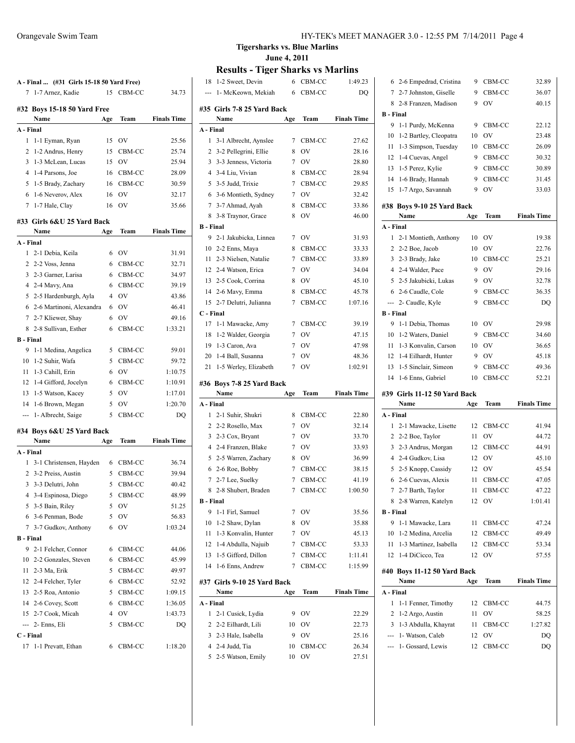|                | 1-7 Arnez, Kadie            | 15             | CBM-CC          | 34.73              |
|----------------|-----------------------------|----------------|-----------------|--------------------|
|                | #32 Boys 15-18 50 Yard Free |                |                 |                    |
|                | Name                        | Age            | Team            | <b>Finals Time</b> |
|                | A - Final                   |                |                 |                    |
| 1              | 1-1 Eyman, Ryan             | 15             | OV              | 25.56              |
| 2              | 1-2 Andrus, Henry           | 15             | CBM-CC          | 25.74              |
| 3              | 1-3 McLean, Lucas           | 15             | <b>OV</b>       | 25.94              |
| 4              | 1-4 Parsons, Joe            | 16             | CBM-CC          | 28.09              |
| 5              | 1-5 Brady, Zachary          | 16             | CBM-CC          | 30.59              |
| 6              | 1-6 Neverov, Alex           | 16             | OV              | 32.17              |
| 7              | 1-7 Hale, Clay              | 16             | OV              | 35.66              |
|                | #33 Girls 6&U 25 Yard Back  |                |                 |                    |
|                | Name                        | Age            | Team            | <b>Finals Time</b> |
|                | A - Final                   |                |                 |                    |
| 1              | 2-1 Debia, Keila            | 6              | <b>OV</b>       | 31.91              |
|                | 2 2-2 Voss, Jenna           | 6              | CBM-CC          | 32.71              |
|                | 3 2-3 Garner, Larisa        | 6              | CBM-CC          | 34.97              |
|                | 4 2-4 Mavy, Ana             | 6              | CBM-CC          | 39.19              |
|                | 5 2-5 Hardenburgh, Ayla     | 4              | $\overline{O}V$ | 43.86              |
|                | 6 2-6 Martinoni, Alexandra  | 6              | <b>OV</b>       | 46.41              |
|                | 7 2-7 Kliewer, Shay         | 6              | OV              | 49.16              |
|                | 8 2-8 Sullivan, Esther      | 6              | CBM-CC          | 1:33.21            |
|                | <b>B</b> - Final            |                |                 |                    |
| 9              | 1-1 Medina, Angelica        | 5              | CBM-CC          | 59.01              |
| 10             | 1-2 Suhir, Wafa             | 5              | CBM-CC          | 59.72              |
| 11             | 1-3 Cahill, Erin            | 6              | OV              | 1:10.75            |
| 12             | 1-4 Gifford, Jocelyn        | 6              | CBM-CC          | 1:10.91            |
| 13             | 1-5 Watson, Kacey           | 5              | <b>OV</b>       | 1:17.01            |
| 14             | 1-6 Brown, Megan            | 5              | OV              | 1:20.70            |
| $\overline{a}$ | 1-Albrecht, Saige           | 5              | CBM-CC          | DQ                 |
|                | #34 Boys 6&U 25 Yard Back   |                |                 |                    |
|                | Name                        | Age            | Team            | <b>Finals Time</b> |
|                | A - Final                   |                |                 |                    |
| 1              | 3-1 Christensen, Hayden     | 6              | CBM-CC          | 36.74              |
| 2              | 3-2 Preiss, Austin          | 5              | CBM-CC          | 39.94              |
| 3              | 3-3 Delutri, John           | 5              | CBM-CC          | 40.42              |
|                | 4 3-4 Espinosa, Diego       | 5              | CBM-CC          | 48.99              |
|                |                             |                |                 | 51.25              |
|                | 5 3-5 Bain, Riley           | 5              | OV              |                    |
|                | 6 3-6 Penman, Bode          | 5              | OV              | 56.83              |
|                | 7 3-7 Gudkov, Anthony       | 6              | OV              | 1:03.24            |
|                | <b>B</b> - Final            |                |                 |                    |
| 9.             | 2-1 Felcher, Connor         | 6              | CBM-CC          | 44.06              |
|                | 10 2-2 Gonzales, Steven     | 6              | CBM-CC          | 45.99              |
|                | 11 2-3 Ma, Erik             | 5              | CBM-CC          | 49.97              |
|                | 12 2-4 Felcher, Tyler       | 6              | CBM-CC          | 52.92              |
|                | 13 2-5 Roa, Antonio         | 5              | CBM-CC          | 1:09.15            |
|                | 14 2-6 Covey, Scott         | 6              | CBM-CC          | 1:36.05            |
|                | 15 2-7 Cook, Micah          | $\overline{4}$ | OV              | 1:43.73            |
|                | --- 2- Enns, Eli            | 5              | CBM-CC          | DQ                 |
|                | C - Final                   |                |                 |                    |

**Tigersharks vs. Blue Marlins June 4, 2011**

|                  | 1-2 Sweet, Devin                     | 6               | CBM-CC       | 1:49.23            |
|------------------|--------------------------------------|-----------------|--------------|--------------------|
| ---              | 1- McKeown, Mekiah                   | 6               | CBM-CC       | DQ                 |
|                  | #35 Girls 7-8 25 Yard Back<br>Name   | Age             | Team         | <b>Finals Time</b> |
| A - Final        |                                      |                 |              |                    |
| 1                | 3-1 Albrecht, Aynslee                | 7               | CBM-CC       | 27.62              |
| 2                | 3-2 Pellegrini, Ellie                | 8               | OV           | 28.16              |
| 3                | 3-3 Jenness, Victoria                | $7\overline{ }$ | OV           | 28.80              |
|                  | 4 3-4 Liu, Vivian                    | 8               | CBM-CC       | 28.94              |
|                  | 5 3-5 Judd, Trixie                   | $\overline{7}$  | CBM-CC       | 29.85              |
|                  | 6 3-6 Montieth, Sydney               | 7               | OV           | 32.42              |
| $\tau$           | 3-7 Ahmad, Ayah                      | 8               | CBM-CC       | 33.86              |
| 8                | 3-8 Traynor, Grace                   | 8               | OV           | 46.00              |
| <b>B</b> - Final |                                      |                 |              |                    |
| 9                | 2-1 Jakubicka, Linnea                | 7               | OV           | 31.93              |
| 10               | 2-2 Enns, Maya                       | 8               | CBM-CC       | 33.33              |
| 11               | 2-3 Nielsen, Natalie                 | 7               | CBM-CC       | 33.89              |
|                  | 12 2-4 Watson, Erica                 | 7               | OV           | 34.04              |
|                  | 13 2-5 Cook, Corrina                 | 8               | OV           | 45.10              |
| 14               | 2-6 Mavy, Emma                       | 8               | CBM-CC       | 45.78              |
| 15               | 2-7 Delutri, Julianna                | 7               | CBM-CC       | 1:07.16            |
| C - Final        |                                      |                 |              |                    |
| 17               | 1-1 Mawacke, Amy                     | 7               | CBM-CC       | 39.19              |
| 18               | 1-2 Walder, Georgia                  | 7               | OV           | 47.15              |
| 19               | 1-3 Caron, Ava                       | 7               | OV           | 47.98              |
| 20               | 1-4 Ball, Susanna                    | 7               | OV           | 48.36              |
| 21               | 1-5 Werley, Elizabeth                | 7               | OV           | 1:02.91            |
|                  |                                      |                 |              |                    |
| #36              | Boys 7-8 25 Yard Back<br>Name        |                 | Team         | <b>Finals Time</b> |
| A - Final        |                                      | Age             |              |                    |
| 1                | 2-1 Suhir, Shukri                    | 8               | CBM-CC       | 22.80              |
| $\overline{2}$   | 2-2 Rosello, Max                     | 7               | OV           | 32.14              |
| 3                | 2-3 Cox, Bryant                      | 7               | OV           | 33.70              |
| $\overline{4}$   | 2-4 Franzen, Blake                   | 7               | OV           | 33.93              |
| 5                | 2-5 Warren, Zachary                  | 8               | OV           | 36.99              |
| 6                | 2-6 Roe, Bobby                       | 7               | CBM-CC       | 38.15              |
| 7                | 2-7 Lee, Suelky                      | 7               | CBM-CC       | 41.19              |
| 8                | 2-8 Shubert, Braden                  | 7               | CBM-CC       | 1:00.50            |
| B - Final        |                                      |                 |              |                    |
| 9                | 1-1 Firl, Samuel                     | 7               | OV           | 35.56              |
| 10               | 1-2 Shaw, Dylan                      | 8               | OV           | 35.88              |
| 11               | 1-3 Konvalin, Hunter                 | 7               | OV           | 45.13              |
| 12               | 1-4 Abdulla, Najuib                  | 7               | CBM-CC       | 53.33              |
| 13               | 1-5 Gifford, Dillon                  | 7               | CBM-CC       | 1:11.41            |
| 14               | 1-6 Enns, Andrew                     | 7               | CBM-CC       | 1:15.99            |
|                  | #37 Girls 9-10 25 Yard Back          |                 |              |                    |
|                  | Name                                 | Age             | Team         | <b>Finals Time</b> |
| A - Final<br>1   |                                      | 9               |              |                    |
| 2                | 2-1 Cusick, Lydia                    | 10              | OV           | 22.29              |
|                  | 2-2 Eilhardt, Lili                   |                 | OV           | 22.73              |
|                  | 3 2-3 Hale, Isabella                 | 9               | OV           | 25.16              |
| 5                | 4 2-4 Judd, Tia<br>2-5 Watson, Emily | 10<br>10        | CBM-CC<br>OV | 26.34<br>27.51     |

| 6                | 2-6 Empedrad, Cristina             | 9    | CBM-CC    | 32.89              |
|------------------|------------------------------------|------|-----------|--------------------|
| 7                | 2-7 Johnston, Giselle              | 9    | CBM-CC    | 36.07              |
| 8                | 2-8 Franzen, Madison               | 9    | OV        | 40.15              |
| <b>B</b> - Final |                                    |      |           |                    |
| 9                | 1-1 Purdy, McKenna                 | 9    | CBM-CC    | 22.12              |
| 10               | 1-2 Bartley, Cleopatra             | 10   | OV        | 23.48              |
| 11               | 1-3 Simpson, Tuesday               | 10   | CBM-CC    | 26.09              |
| 12               | 1-4 Cuevas, Angel                  | 9    | CBM-CC    | 30.32              |
| 13               | 1-5 Perez, Kylie                   | 9    | CBM-CC    | 30.89              |
| 14               | 1-6 Brady, Hannah                  | 9    | CBM-CC    | 31.45              |
| 15               | 1-7 Argo, Savannah                 | 9    | OV        | 33.03              |
|                  |                                    |      |           |                    |
|                  | #38 Boys 9-10 25 Yard Back<br>Name |      | Team      | <b>Finals Time</b> |
|                  |                                    | Age  |           |                    |
| A - Final        |                                    |      |           |                    |
| 1                | 2-1 Montieth, Anthony              | 10   | OV        | 19.38              |
| 2                | 2-2 Boe, Jacob                     | 10   | OV        | 22.76              |
| 3                | 2-3 Brady, Jake                    | 10   | CBM-CC    | 25.21              |
| 4                | 2-4 Walder, Pace                   | 9    | OV        | 29.16              |
| 5                | 2-5 Jakubicki, Lukas               | 9    | OV        | 32.78              |
| 6                | 2-6 Caudle, Cole                   | 9    | CBM-CC    | 36.35              |
|                  | --- 2- Caudle, Kyle                | 9    | CBM-CC    | DQ                 |
| <b>B</b> - Final |                                    |      |           |                    |
| 9                | 1-1 Debia, Thomas                  | 10   | <b>OV</b> | 29.98              |
| 10               | 1-2 Waters, Daniel                 | 9    | CBM-CC    | 34.60              |
| 11               | 1-3 Konvalin, Carson               | 10   | OV        | 36.65              |
| 12               | 1-4 Eilhardt, Hunter               | 9    | OV        | 45.18              |
| 13               | 1-5 Sinclair, Simeon               | 9    | CBM-CC    | 49.36              |
| 14               | 1-6 Enns, Gabriel                  | 10   | CBM-CC    | 52.21              |
|                  |                                    |      |           |                    |
|                  |                                    |      |           |                    |
|                  | #39 Girls 11-12 50 Yard Back       |      |           |                    |
|                  | Name                               | Age  | Team      | <b>Finals Time</b> |
| A - Final        |                                    |      |           |                    |
| 1                | 2-1 Mawacke, Lisette               | 12   | CBM-CC    | 41.94              |
|                  | 2 2-2 Boe, Taylor                  | 11   | <b>OV</b> | 44.72              |
| 3                | 2-3 Andrus, Morgan                 | 12   | CBM-CC    | 44.91              |
|                  | 4 2-4 Gudkov, Lisa                 | 12   | <b>OV</b> | 45.10              |
|                  | 5 2-5 Knopp, Cassidy               | 12   | OV        | 45.54              |
| 6                | 2-6 Cuevas, Alexis                 | 11   | CBM-CC    | 47.05              |
| 7                | 2-7 Barth, Taylor                  | 11   | CBM-CC    | 47.22              |
|                  | 8 2-8 Warren, Katelyn              |      | 12 OV     | 1:01.41            |
| B - Final        |                                    |      |           |                    |
| 9                | 1-1 Mawacke, Lara                  |      | 11 CBM-CC | 47.24              |
| 10               | 1-2 Medina, Arcelia                |      | 12 CBM-CC | 49.49              |
| 11               | 1-3 Martinez, Isabella             |      | 12 CBM-CC | 53.34              |
| 12               | 1-4 DiCicco, Tea                   | 12   | <b>OV</b> | 57.55              |
|                  | #40 Boys 11-12 50 Yard Back        |      |           |                    |
|                  | Name                               | Age  | Team      | <b>Finals Time</b> |
| A - Final        |                                    |      |           |                    |
| 1                | 1-1 Fenner, Timothy                | 12   | CBM-CC    | 44.75              |
| 2                | 1-2 Argo, Austin                   | 11   | OV        | 58.25              |
| 3                | 1-3 Abdulla, Khayrat               | 11 - | CBM-CC    | 1:27.82            |
|                  | --- 1- Watson, Caleb               |      | 12 OV     | DQ                 |
|                  | --- 1- Gossard, Lewis              | 12   | CBM-CC    | DQ                 |
|                  |                                    |      |           |                    |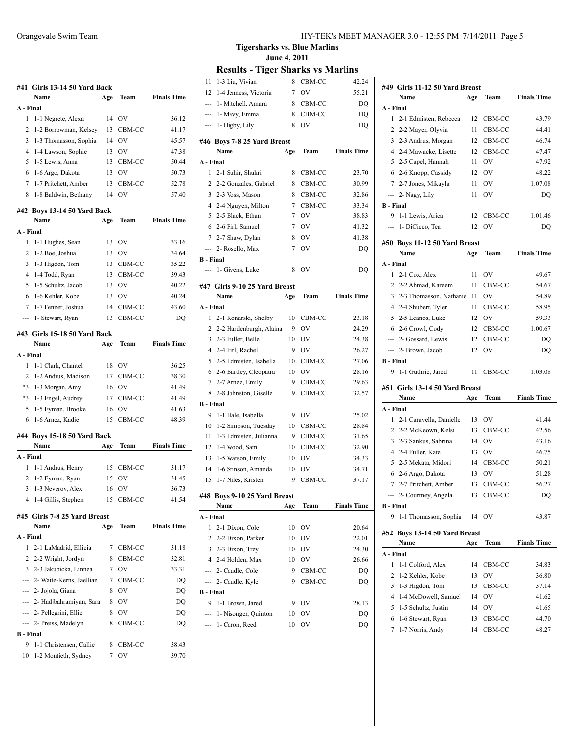| #41              | Girls 13-14 50 Yard Back<br>Name       | Age | Team             | <b>Finals Time</b> |
|------------------|----------------------------------------|-----|------------------|--------------------|
| A - Final        |                                        |     |                  |                    |
| 1                | 1-1 Negrete, Alexa                     | 14  | OV               | 36.12              |
| 2                | 1-2 Borrowman, Kelsey                  | 13  | CBM-CC           | 41.17              |
| 3                |                                        | 14  | OV               |                    |
| 4                | 1-3 Thomasson, Sophia                  |     |                  | 45.57              |
|                  | 1-4 Lawson, Sophie                     | 13  | OV               | 47.38              |
| 5                | 1-5 Lewis, Anna                        | 13  | CBM-CC           | 50.44              |
| 6                | 1-6 Argo, Dakota                       | 13  | OV               | 50.73              |
| 7                | 1-7 Pritchett, Amber                   | 13  | CBM-CC           | 52.78              |
| 8                | 1-8 Baldwin, Bethany                   | 14  | OV               | 57.40              |
|                  | #42 Boys 13-14 50 Yard Back<br>Name    | Age | Team             | <b>Finals Time</b> |
| A - Final        |                                        |     |                  |                    |
| 1                | 1-1 Hughes, Sean                       | 13  | OV               | 33.16              |
| 2                | 1-2 Boe, Joshua                        | 13  | OV               | 34.64              |
| 3                |                                        |     |                  |                    |
| 4                | 1-3 Higdon, Tom                        | 13  | CBM-CC<br>CBM-CC | 35.22              |
|                  | 1-4 Todd, Ryan                         | 13  |                  | 39.43              |
| 5                | 1-5 Schultz, Jacob                     | 13  | OV               | 40.22              |
| 6                | 1-6 Kehler, Kobe                       | 13  | OV               | 40.24              |
| 7                | 1-7 Fenner, Joshua                     | 14  | CBM-CC           | 43.60              |
| ---              | 1- Stewart, Ryan                       | 13  | CBM-CC           | DO                 |
|                  | #43 Girls 15-18 50 Yard Back           |     | Team             | <b>Finals Time</b> |
| A - Final        | Name                                   | Age |                  |                    |
| 1                | 1-1 Clark, Chantel                     | 18  | OV               | 36.25              |
| $\overline{c}$   |                                        | 17  | CBM-CC           | 38.30              |
| *3               | 1-2 Andrus, Madison<br>1-3 Morgan, Amy | 16  | OV               | 41.49              |
| $*3$             |                                        |     |                  |                    |
|                  | 1-3 Engel, Audrey                      | 17  | CBM-CC           | 41.49              |
| 5                | 1-5 Eyman, Brooke                      | 16  | OV               | 41.63              |
| 6                | 1-6 Arnez, Kadie                       | 15  | CBM-CC           | 48.39              |
|                  | #44 Boys 15-18 50 Yard Back            |     |                  |                    |
|                  | Name                                   | Age | Team             | <b>Finals Time</b> |
| A - Final        |                                        |     |                  |                    |
| 1                | 1-1 Andrus, Henry                      | 15  | CBM-CC           | 31.17              |
| 2                | 1-2 Eyman, Ryan                        | 15  | OV               | 31.45              |
| 3                | 1-3 Neverov, Alex                      | 16  | OV               | 36.73              |
| 4                | 1-4 Gillis, Stephen                    | 15  | CBM-CC           | 41.54              |
|                  | #45 Girls 7-8 25 Yard Breast           |     |                  |                    |
|                  | Name                                   | Age | Team             | <b>Finals Time</b> |
| A - Final        |                                        |     |                  |                    |
| 1                | 2-1 LaMadrid, Ellicia                  | 7   | CBM-CC           | 31.18              |
| 2                | 2-2 Wright, Jordyn                     | 8   | CBM-CC           | 32.81              |
|                  | 3 2-3 Jakubicka, Linnea                | 7   | OV               | 33.31              |
|                  | --- 2- Waite-Kerns, Jaellian           | 7   | CBM-CC           | DQ                 |
|                  | --- 2- Jojola, Giana                   | 8   | OV               | DQ                 |
|                  | --- 2- Hadjbahramiyan, Sara            | 8   | OV               |                    |
|                  |                                        |     |                  | DQ                 |
|                  | --- 2- Pellegrini, Ellie               | 8   | OV               | DQ                 |
| ---              | 2- Preiss, Madelyn                     | 8   | CBM-CC           | DQ                 |
| <b>B</b> - Final |                                        |     |                  |                    |
| 9                | 1-1 Christensen, Callie                | 8   | CBM-CC           | 38.43              |
| 10               | 1-2 Montieth, Sydney                   | 7   | OV               | 39.70              |

Orangevale Swim Team HY-TEK's MEET MANAGER 3.0 - 12:55 PM 7/14/2011 Page 5

**Tigersharks vs. Blue Marlins June 4, 2011**

# **Results - Tiger Sharks vs Marlins**<br>1-3 Liu, Vivian 8 CBM-CC 42

| 11               | 1-3 Liu, Vivian               | 8   | CBM-CC    | 42.24              |
|------------------|-------------------------------|-----|-----------|--------------------|
| 12               | 1-4 Jenness, Victoria         | 7   | OV        | 55.21              |
| $\frac{1}{2}$    | 1- Mitchell, Amara            | 8   | CBM-CC    | DQ                 |
|                  | --- 1- Mavy, Emma             | 8   | CBM-CC    | DQ                 |
| ---              | 1-Higby, Lily                 | 8   | <b>OV</b> | DO                 |
|                  |                               |     |           |                    |
|                  | #46 Boys 7-8 25 Yard Breast   |     |           |                    |
|                  | Name                          | Age | Team      | <b>Finals Time</b> |
| A - Final        |                               |     |           |                    |
| 1                | 2-1 Suhir, Shukri             | 8   | CBM-CC    | 23.70              |
| $\overline{2}$   | 2-2 Gonzales, Gabriel         | 8   | CBM-CC    | 30.99              |
| 3                | 2-3 Voss, Mason               | 8   | CBM-CC    | 32.86              |
|                  | 4 2-4 Nguyen, Milton          | 7   | CBM-CC    | 33.34              |
| 5                | 2-5 Black, Ethan              | 7   | <b>OV</b> | 38.83              |
| 6                | 2-6 Firl, Samuel              | 7   | <b>OV</b> | 41.32              |
|                  | 7 2-7 Shaw, Dylan             | 8   | <b>OV</b> | 41.38              |
|                  | --- 2- Rosello, Max           | 7   | <b>OV</b> | DQ                 |
| <b>B</b> - Final |                               |     |           |                    |
|                  | --- 1- Givens, Luke           | 8   | OV        | DO                 |
|                  | #47 Girls 9-10 25 Yard Breast |     |           |                    |
|                  | Name                          | Age | Team      | <b>Finals Time</b> |
| A - Final        |                               |     |           |                    |
| 1                | 2-1 Konarski, Shelby          | 10  | CBM-CC    | 23.18              |
| 2                | 2-2 Hardenburgh, Alaina       | 9   | <b>OV</b> | 24.29              |
| 3                | 2-3 Fuller, Belle             | 10  | OV        | 24.38              |
| $\overline{4}$   | 2-4 Firl, Rachel              | 9   | <b>OV</b> | 26.27              |
| 5                | 2-5 Edmisten, Isabella        | 10  | CBM-CC    | 27.06              |
| 6                | 2-6 Bartley, Cleopatra        | 10  | <b>OV</b> | 28.16              |
|                  | 7 2-7 Arnez, Emily            | 9   | CBM-CC    | 29.63              |
| 8                | 2-8 Johnston, Giselle         | 9   | CBM-CC    | 32.57              |
| <b>B</b> - Final |                               |     |           |                    |
| 9                | 1-1 Hale, Isabella            | 9   | <b>OV</b> | 25.02              |
| 10               | 1-2 Simpson, Tuesday          | 10  | CBM-CC    | 28.84              |
| 11               | 1-3 Edmisten, Julianna        | 9   | CBM-CC    | 31.65              |
| 12               | 1-4 Wood, Sam                 | 10  | CBM-CC    | 32.90              |
| 13               | 1-5 Watson, Emily             | 10  | <b>OV</b> | 34.33              |
| 14               | 1-6 Stinson, Amanda           | 10  | OV        | 34.71              |
| 15               | 1-7 Niles, Kristen            | 9   | CBM-CC    | 37.17              |
|                  |                               |     |           |                    |
|                  |                               |     |           |                    |
|                  | #48 Boys 9-10 25 Yard Breast  |     |           |                    |
|                  | Name                          | Age | Team      | <b>Finals Time</b> |
| A - Final        |                               |     |           |                    |
| 1                | 2-1 Dixon, Cole               | 10  | OV        | 20.64              |
| 2                | 2-2 Dixon, Parker             | 10  | OV        | 22.01              |
| 3                | 2-3 Dixon, Trey               | 10  | OV        | 24.30              |
| 4                | 2-4 Holden, Max               | 10  | OV        | 26.66              |
| $---$            | 2- Caudle, Cole               | 9   | CBM-CC    | DQ                 |
| ---              | 2- Caudle, Kyle               | 9   | CBM-CC    | DQ                 |
| <b>B</b> - Final |                               |     |           |                    |
| 9                | 1-1 Brown, Jared              | 9   | OV        | 28.13              |
| ---              | 1- Nisonger, Quinton          | 10  | OV        | DQ                 |

|                  | #49 Girls 11-12 50 Yard Breast<br>Name    |          | Team                | <b>Finals Time</b> |
|------------------|-------------------------------------------|----------|---------------------|--------------------|
| A - Final        |                                           | Age      |                     |                    |
| 1                | 2-1 Edmisten, Rebecca                     | 12       | CBM-CC              | 43.79              |
| 2                | 2-2 Mayer, Olyvia                         | 11       | CBM-CC              | 44.41              |
| 3                | 2-3 Andrus, Morgan                        | 12       | CBM-CC              | 46.74              |
| 4                |                                           |          |                     |                    |
| 5                | 2-4 Mawacke, Lisette                      | 12<br>11 | CBM-CC<br><b>OV</b> | 47.47<br>47.92     |
|                  | 2-5 Capel, Hannah<br>6 2-6 Knopp, Cassidy | 12       | <b>OV</b>           | 48.22              |
| 7                |                                           | 11       | OV                  | 1:07.08            |
|                  | 2-7 Jones, Mikayla<br>--- 2- Nagy, Lily   | 11       | OV                  | DQ                 |
| <b>B</b> - Final |                                           |          |                     |                    |
| 9                | 1-1 Lewis, Arica                          | 12       | CBM-CC              | 1:01.46            |
| ---              | 1- DiCicco, Tea                           | 12       | OV                  | DQ                 |
|                  |                                           |          |                     |                    |
|                  | #50 Boys 11-12 50 Yard Breast             |          |                     |                    |
|                  | Name                                      | Age      | Team                | <b>Finals Time</b> |
| A - Final        |                                           |          |                     |                    |
| 1                | 2-1 Cox, Alex                             | 11       | OV                  | 49.67              |
| 2                | 2-2 Ahmad, Kareem                         | 11       | CBM-CC              | 54.67              |
| 3                | 2-3 Thomasson, Nathanie                   | -11      | OV                  | 54.89              |
|                  | 4 2-4 Shubert, Tyler                      | 11       | CBM-CC              | 58.95              |
| 5                | 2-5 Leanos, Luke                          | 12       | OV                  | 59.33              |
| 6                | 2-6 Crowl, Cody                           | 12       | CBM-CC              | 1:00.67            |
|                  | --- 2- Gossard, Lewis                     | 12       | CBM-CC              | DQ                 |
| ---              | 2- Brown, Jacob                           | 12       | OV                  | DQ                 |
| <b>B</b> - Final |                                           |          |                     |                    |
| 9                | 1-1 Guthrie, Jared                        | 11       | CBM-CC              | 1:03.08            |
|                  | #51 Girls 13-14 50 Yard Breast            |          |                     |                    |
|                  | Name                                      | Age      | Team                | <b>Finals Time</b> |
| A - Final        |                                           |          |                     |                    |
| 1                | 2-1 Caravella, Danielle                   | 13       | OV                  | 41.44              |
| 2                | 2-2 McKeown, Kelsi                        | 13       | CBM-CC              | 42.56              |
| 3                | 2-3 Sankus, Sabrina                       | 14       | OV                  | 43.16              |
| 4                | 2-4 Fuller, Kate                          | 13       | OV                  | 46.75              |
| 5                | 2-5 Mekata, Midori                        | 14       | CBM-CC              | 50.21              |
| 6                | 2-6 Argo, Dakota                          | 13       | OV                  | 51.28              |
| 7                | 2-7 Pritchett, Amber                      | 13       | CBM-CC              | 56.27              |
| ---              | 2- Courtney, Angela                       | 13       | CBM-CC              | DO                 |
| <b>B</b> - Final |                                           |          |                     |                    |
| 9                | 1-1 Thomasson, Sophia                     |          | 14 OV               | 43.87              |
|                  | #52 Boys 13-14 50 Yard Breast             |          |                     |                    |
|                  | Name                                      | Age      | Team                | <b>Finals Time</b> |
| A - Final        |                                           |          |                     |                    |
| 1                | 1-1 Colford, Alex                         | 14       | CBM-CC              | 34.83              |
| 2                | 1-2 Kehler, Kobe                          | 13       | OV                  | 36.80              |
| 3                | 1-3 Higdon, Tom                           | 13       | CBM-CC              | 37.14              |
| 4                | 1-4 McDowell, Samuel                      | 14       | OV                  | 41.62              |
| 5                | 1-5 Schultz, Justin                       | 14       | OV                  | 41.65              |
| 6                | 1-6 Stewart, Ryan                         | 13       | CBM-CC              | 44.70              |
| 7                | 1-7 Norris, Andy                          | 14       | CBM-CC              | 48.27              |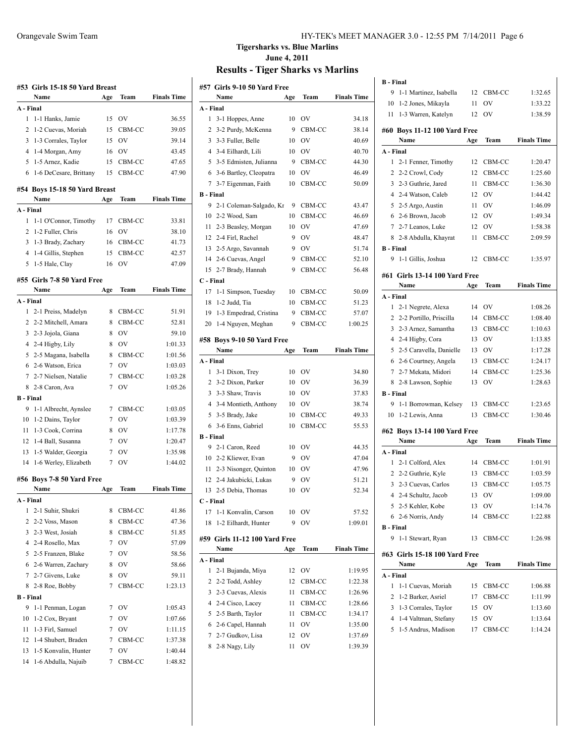|                  | #53   Girls 15-18 50 Yard Breast      |                 |              |                    |
|------------------|---------------------------------------|-----------------|--------------|--------------------|
|                  | Name                                  | Age             | Team         | <b>Finals Time</b> |
| A - Final        |                                       |                 |              |                    |
| 1                | 1-1 Hanks, Jamie                      | 15              | OV           | 36.55              |
| $\overline{c}$   | 1-2 Cuevas, Moriah                    | 15              | CBM-CC       | 39.05              |
| 3                | 1-3 Corrales, Taylor                  | 15              | - OV         | 39.14              |
|                  | 4 1-4 Morgan, Amy                     | 16              | <b>OV</b>    | 43.45              |
| 5                | 1-5 Arnez, Kadie                      | 15              | CBM-CC       | 47.65              |
| 6                | 1-6 DeCesare, Brittany                | 15              | CBM-CC       | 47.90              |
|                  | #54 Boys 15-18 50 Yard Breast<br>Name | Age             | Team         | <b>Finals Time</b> |
| A - Final        |                                       |                 |              |                    |
| 1                | 1-1 O'Connor, Timothy                 | 17              | CBM-CC       | 33.81              |
| 2                | 1-2 Fuller, Chris                     | 16              | <b>OV</b>    | 38.10              |
| 3                | 1-3 Brady, Zachary                    | 16              | CBM-CC       | 41.73              |
|                  |                                       | 15              |              |                    |
|                  | 4 1-4 Gillis, Stephen                 |                 | CBM-CC<br>OV | 42.57              |
| 5                | 1-5 Hale, Clay                        | 16              |              | 47.09              |
|                  | #55 Girls 7-8 50 Yard Free            |                 |              |                    |
|                  | Name                                  | Age             | Team         | <b>Finals Time</b> |
| A - Final        |                                       |                 |              |                    |
| 1                | 2-1 Preiss, Madelyn                   | 8               | CBM-CC       | 51.91              |
|                  | 2 2-2 Mitchell, Amara                 | 8               | CBM-CC       | 52.81              |
| 3                | 2-3 Jojola, Giana                     | 8               | <b>OV</b>    | 59.10              |
|                  | 4 2-4 Higby, Lily                     | 8               | <b>OV</b>    | 1:01.33            |
|                  | 5 2-5 Magana, Isabella                | 8               | CBM-CC       | 1:01.56            |
|                  | 6 2-6 Watson, Erica                   | 7               | <b>OV</b>    | 1:03.03            |
|                  | 7 2-7 Nielsen, Natalie                | 7               | CBM-CC       | 1:03.28            |
| 8                | 2-8 Caron, Ava                        | 7               | OV           | 1:05.26            |
| <b>B</b> - Final |                                       |                 |              |                    |
| 9                | 1-1 Albrecht, Aynslee                 |                 | 7 CBM-CC     | 1:03.05            |
| 10               | 1-2 Dains, Taylor                     |                 | 7 OV         | 1:03.39            |
| 11               | 1-3 Cook, Corrina                     | 8               | <b>OV</b>    | 1:17.78            |
| 12               | 1-4 Ball, Susanna                     |                 | 7 OV         | 1:20.47            |
| 13               | 1-5 Walder, Georgia                   | 7               | 0V           | 1:35.98            |
| 14               | 1-6 Werley, Elizabeth                 | 7               | <b>OV</b>    | 1:44.02            |
|                  |                                       |                 |              |                    |
|                  | #56 Boys 7-8 50 Yard Free<br>Name     | Age             | Team         | <b>Finals Time</b> |
| A - Final        |                                       |                 |              |                    |
| 1                | 2-1 Suhir, Shukri                     | 8               | CBM-CC       | 41.86              |
| 2                | 2-2 Voss, Mason                       | 8               | CBM-CC       | 47.36              |
| 3                | 2-3 West, Josiah                      | 8               | CBM-CC       | 51.85              |
|                  | 4 2-4 Rosello, Max                    | 7               | <b>OV</b>    | 57.09              |
| 5                | 2-5 Franzen, Blake                    | 7               | <b>OV</b>    | 58.56              |
| 6                | 2-6 Warren, Zachary                   | 8               | OV           | 58.66              |
| 7                | 2-7 Givens, Luke                      | 8               | OV           | 59.11              |
| 8                | 2-8 Roe, Bobby                        | 7               |              | 1:23.13            |
| <b>B</b> - Final |                                       |                 | CBM-CC       |                    |
|                  |                                       |                 |              |                    |
| 9                | 1-1 Penman, Logan                     | 7               | OV           | 1:05.43            |
| 10               | 1-2 Cox, Bryant                       | 7               | OV           | 1:07.66            |
| 11               | 1-3 Firl, Samuel                      | 7               | OV           | 1:11.15            |
| 12               | 1-4 Shubert, Braden                   | 7               | CBM-CC       | 1:37.38            |
| 13               | 1-5 Konvalin, Hunter                  | 7               | OV           | 1:40.44            |
| 14               | 1-6 Abdulla, Najuib                   | $7\phantom{.0}$ | CBM-CC       | 1:48.82            |

#### Orangevale Swim Team HY-TEK's MEET MANAGER 3.0 - 12:55 PM 7/14/2011 Page 6

# **Tigersharks vs. Blue Marlins June 4, 2011**

|                  | #57  Girls 9-10 50 Yard Free   |     |           |                    |
|------------------|--------------------------------|-----|-----------|--------------------|
|                  | Name                           | Age | Team      | <b>Finals Time</b> |
| A - Final        |                                |     |           |                    |
| 1                | 3-1 Hoppes, Anne               | 10  | OV        | 34.18              |
| 2                | 3-2 Purdy, McKenna             | 9   | CBM-CC    | 38.14              |
| 3                | 3-3 Fuller, Belle              | 10  | <b>OV</b> | 40.69              |
| 4                | 3-4 Eilhardt, Lili             | 10  | OV        | 40.70              |
| 5                | 3-5 Edmisten, Julianna         | 9   | CBM-CC    | 44.30              |
| 6                | 3-6 Bartley, Cleopatra         | 10  | OV        | 46.49              |
| 7                | 3-7 Eigenman, Faith            | 10  | CBM-CC    | 50.09              |
| <b>B</b> - Final |                                |     |           |                    |
| 9                | 2-1 Coleman-Salgado, Kr        | 9   | CBM-CC    | 43.47              |
| 10               | 2-2 Wood, Sam                  | 10  | CBM-CC    | 46.69              |
| 11               | 2-3 Beasley, Morgan            | 10  | <b>OV</b> | 47.69              |
| 12               | 2-4 Firl, Rachel               | 9   | <b>OV</b> | 48.47              |
| 13               | 2-5 Argo, Savannah             | 9   | OV        | 51.74              |
| 14               | 2-6 Cuevas, Angel              | 9   | CBM-CC    | 52.10              |
| 15               | 2-7 Brady, Hannah              | 9   | CBM-CC    | 56.48              |
| C - Final        |                                |     |           |                    |
| 17               | 1-1 Simpson, Tuesday           | 10  | CBM-CC    | 50.09              |
| 18               | 1-2 Judd, Tia                  | 10  | CBM-CC    | 51.23              |
| 19               | 1-3 Empedrad, Cristina         | 9   | CBM-CC    | 57.07              |
| 20               | 1-4 Nguyen, Meghan             | 9   | CBM-CC    | 1:00.25            |
|                  |                                |     |           |                    |
|                  | #58 Boys 9-10 50 Yard Free     |     |           |                    |
|                  | Name                           | Age | Team      | <b>Finals Time</b> |
| A - Final        |                                |     |           |                    |
| 1                | 3-1 Dixon, Trey                | 10  | <b>OV</b> | 34.80              |
|                  | 2 3-2 Dixon, Parker            | 10  | OV        | 36.39              |
| 3                | 3-3 Shaw, Travis               | 10  | <b>OV</b> | 37.83              |
| 4                | 3-4 Montieth, Anthony          | 10  | OV        | 38.74              |
| 5                | 3-5 Brady, Jake                | 10  | CBM-CC    | 49.33              |
| 6                | 3-6 Enns, Gabriel              | 10  | CBM-CC    | 55.53              |
| <b>B</b> - Final |                                |     |           |                    |
| 9                | 2-1 Caron, Reed                |     |           |                    |
|                  |                                | 10  | <b>OV</b> | 44.35              |
|                  | 10 2-2 Kliewer, Evan           | 9   | <b>OV</b> | 47.04              |
| 11               | 2-3 Nisonger, Quinton          | 10  | <b>OV</b> | 47.96              |
|                  | 12 2-4 Jakubicki, Lukas        | 9   | OV        | 51.21              |
|                  | 13 2-5 Debia, Thomas           | 10  | OV        | 52.34              |
| C - Final        |                                |     |           |                    |
| 17               | 1-1 Konvalin, Carson           | 10  | OV        | 57.52              |
| 18               | 1-2 Eilhardt, Hunter           | 9   | ov        | 1:09.01            |
|                  | #59  Girls 11-12 100 Yard Free |     |           |                    |
|                  | Name                           | Age | Team      | <b>Finals Time</b> |
| A - Final        |                                |     |           |                    |
| 1                | 2-1 Bujanda, Miya              | 12  | OV        | 1:19.95            |
| $\overline{c}$   | 2-2 Todd, Ashley               | 12  | CBM-CC    | 1:22.38            |
| 3                | 2-3 Cuevas, Alexis             | 11  | CBM-CC    | 1:26.96            |
| 4                | 2-4 Cisco, Lacey               | 11  | CBM-CC    | 1:28.66            |
| 5                | 2-5 Barth, Taylor              | 11  | CBM-CC    | 1:34.17            |
| 6                | 2-6 Capel, Hannah              | 11  | OV        | 1:35.00            |
| 7                | 2-7 Gudkov, Lisa               | 12  | OV        | 1:37.69            |

| 9                | <b>B</b> - Final                     |     |                  |                    |
|------------------|--------------------------------------|-----|------------------|--------------------|
|                  | 1-1 Martinez, Isabella               | 12  | CBM-CC           | 1:32.65            |
| 10               | 1-2 Jones, Mikayla                   | 11  | OV               | 1:33.22            |
| 11               | 1-3 Warren, Katelyn                  | 12  | OV               | 1:38.59            |
|                  |                                      |     |                  |                    |
|                  | #60 Boys 11-12 100 Yard Free         |     |                  |                    |
|                  | Name                                 | Age | Team             | <b>Finals Time</b> |
| A - Final        |                                      |     |                  |                    |
| 1                | 2-1 Fenner, Timothy                  | 12  | CBM-CC           | 1:20.47            |
| 2                | 2-2 Crowl, Cody                      | 12  | CBM-CC           | 1:25.60            |
| 3                | 2-3 Guthrie, Jared                   | 11  | CBM-CC           | 1:36.30            |
| $\overline{4}$   | 2-4 Watson, Caleb                    | 12  | OV               | 1:44.42            |
| 5                | 2-5 Argo, Austin                     | 11  | OV               | 1:46.09            |
| 6                | 2-6 Brown, Jacob                     | 12  | OV               | 1:49.34            |
| 7                | 2-7 Leanos, Luke                     | 12  | OV               | 1:58.38            |
| 8                | 2-8 Abdulla, Khayrat                 | 11  | CBM-CC           | 2:09.59            |
| <b>B</b> - Final |                                      |     |                  |                    |
| 9                | 1-1 Gillis, Joshua                   | 12  | CBM-CC           | 1:35.97            |
|                  | #61 Girls 13-14 100 Yard Free        |     |                  |                    |
|                  | Name                                 | Age | Team             | <b>Finals Time</b> |
| A - Final        |                                      |     |                  |                    |
|                  |                                      |     |                  |                    |
| 1                | 2-1 Negrete, Alexa                   | 14  | OV               | 1:08.26            |
| 2                | 2-2 Portillo, Priscilla              | 14  | CBM-CC           | 1:08.40            |
| 3                | 2-3 Arnez, Samantha                  | 13  | CBM-CC           | 1:10.63            |
| 4                | 2-4 Higby, Cora                      | 13  | OV               | 1:13.85            |
| 5                | 2-5 Caravella, Danielle              | 13  | OV               | 1:17.28            |
| 6                | 2-6 Courtney, Angela                 | 13  | CBM-CC           | 1:24.17            |
| 7                | 2-7 Mekata, Midori                   | 14  | CBM-CC           | 1:25.36            |
| 8                | 2-8 Lawson, Sophie                   | 13  | OV               | 1:28.63            |
| <b>B</b> - Final |                                      |     |                  |                    |
| 9                | 1-1 Borrowman, Kelsey                | 13  | CBM-CC           | 1:23.65            |
|                  |                                      |     |                  |                    |
| 10               | 1-2 Lewis, Anna                      | 13  | CBM-CC           | 1:30.46            |
|                  |                                      |     |                  |                    |
|                  | #62 Boys 13-14 100 Yard Free<br>Name | Age | Team             | <b>Finals Time</b> |
| A - Final        |                                      |     |                  |                    |
| 1                |                                      | 14  |                  | 1:01.91            |
| 2                | 2-1 Colford, Alex                    | 13  | CBM-CC<br>CBM-CC | 1:03.59            |
| 3                | 2-2 Guthrie, Kyle                    | 13  | CBM-CC           | 1:05.75            |
| 4                | 2-3 Cuevas, Carlos                   |     | OV               |                    |
|                  | 2-4 Schultz, Jacob                   | 13  |                  | 1:09.00            |
|                  | 5 2-5 Kehler, Kobe                   | 13  | OV               | 1:14.76            |
|                  | 6 2-6 Norris, Andy                   | 14  | CBM-CC           | 1:22.88            |
| <b>B</b> - Final |                                      |     |                  |                    |
| 9                | 1-1 Stewart, Ryan                    | 13  | CBM-CC           | 1:26.98            |
|                  | #63 Girls 15-18 100 Yard Free        |     |                  |                    |
|                  | Name                                 | Age | Team             | <b>Finals Time</b> |
| A - Final        |                                      |     |                  |                    |
| 1                | 1-1 Cuevas, Moriah                   | 15  | CBM-CC           | 1:06.88            |
| 2                | 1-2 Barker, Asriel                   | 17  | CBM-CC           | 1:11.99            |
| 3                | 1-3 Corrales, Taylor                 | 15  | OV               | 1:13.60            |
| 4                | 1-4 Valtman, Stefany                 | 15  | OV               | 1:13.64            |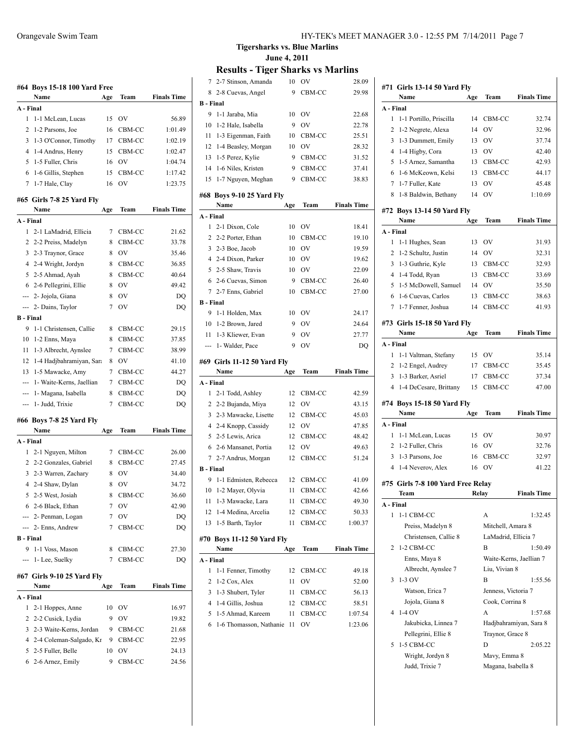|            | Name                                     | #64 Boys 15-18 100 Yard Free<br>Age | Team      | <b>Finals Time</b> |
|------------|------------------------------------------|-------------------------------------|-----------|--------------------|
|            | A - Final                                |                                     |           |                    |
| 1          | 1-1 McLean, Lucas                        | 15                                  | OV        | 56.89              |
| 2          | 1-2 Parsons, Joe                         | 16                                  | CBM-CC    | 1:01.49            |
| 3          | 1-3 O'Connor, Timothy                    | 17                                  | CBM-CC    | 1:02.19            |
| 4          | 1-4 Andrus, Henry                        | 15                                  | CBM-CC    | 1:02.47            |
| 5          | 1-5 Fuller, Chris                        | 16                                  | OV        | 1:04.74            |
| 6          | 1-6 Gillis, Stephen                      | 15                                  | CBM-CC    | 1:17.42            |
| 7          | 1-7 Hale, Clay                           | 16                                  | OV        | 1:23.75            |
|            | #65  Girls 7-8 25 Yard Fly               |                                     |           |                    |
|            | Name                                     | Age                                 | Team      | <b>Finals Time</b> |
|            | A - Final                                |                                     |           |                    |
| 1          | 2-1 LaMadrid, Ellicia                    | 7                                   | CBM-CC    | 21.62              |
| 2          | 2-2 Preiss, Madelyn                      | 8                                   | CBM-CC    | 33.78              |
| 3          | 2-3 Traynor, Grace                       | 8                                   | <b>OV</b> | 35.46              |
|            | 4 2-4 Wright, Jordyn                     | 8                                   | CBM-CC    | 36.85              |
| 5          | 2-5 Ahmad, Ayah                          | 8                                   | CBM-CC    | 40.64              |
|            | 6 2-6 Pellegrini, Ellie                  | 8                                   | <b>OV</b> | 49.42              |
|            |                                          |                                     | OV        |                    |
|            | --- 2- Jojola, Giana                     | 8<br>7                              | <b>OV</b> | DQ                 |
|            | --- 2- Dains, Taylor<br><b>B</b> - Final |                                     |           | DQ                 |
| 9          | 1-1 Christensen, Callie                  | 8                                   | CBM-CC    | 29.15              |
| 10         | 1-2 Enns, Maya                           | 8                                   | CBM-CC    | 37.85              |
| 11         | 1-3 Albrecht, Aynslee                    | 7                                   | CBM-CC    | 38.99              |
|            |                                          |                                     |           |                    |
| 12         | 1-4 Hadjbahramiyan, Sara                 | 8                                   | OV        | 41.10              |
| 13         | 1-5 Mawacke, Amy                         | 7                                   | CBM-CC    | 44.27              |
| ---        | 1- Waite-Kerns, Jaellian                 | 7                                   | CBM-CC    | DQ                 |
| ---        | 1- Magana, Isabella                      | 8                                   | CBM-CC    | DQ                 |
|            | 1- Judd, Trixie                          | 7                                   | CBM-CC    | DQ                 |
|            |                                          |                                     |           |                    |
|            | #66  Boys 7-8 25 Yard Fly                |                                     |           |                    |
|            | Name                                     | Age                                 | Team      | <b>Finals Time</b> |
|            | A - Final                                |                                     |           |                    |
| 1          | 2-1 Nguyen, Milton                       | 7                                   | CBM-CC    |                    |
|            | 2 2-2 Gonzales, Gabriel                  | 8                                   | CBM-CC    | 27.45              |
|            | 3 2-3 Warren, Zachary                    | 8                                   | OV        | 34.40              |
|            | 4 2-4 Shaw, Dylan                        | 8                                   | OV        | 26.00<br>34.72     |
|            | 5 2-5 West, Josiah                       |                                     | 8 CBM-CC  | 36.60              |
|            | 6 2-6 Black, Ethan                       | 7                                   | OV        | 42.90              |
|            | --- 2- Penman, Logan                     | 7                                   | OV        |                    |
|            | --- 2- Enns, Andrew                      | 7                                   | CBM-CC    |                    |
|            | B - Final                                |                                     |           | DQ                 |
| 9          | 1-1 Voss, Mason                          | 8                                   | CBM-CC    | 27.30              |
|            | 1- Lee, Suelky                           | 7                                   | CBM-CC    | DQ<br>DQ           |
|            | #67  Girls 9-10 25 Yard Fly              |                                     |           |                    |
|            | Name                                     | Age                                 | Team      |                    |
| ---<br>--- | A - Final                                |                                     |           | <b>Finals Time</b> |
| 1          | 2-1 Hoppes, Anne                         | 10                                  | OV        | 16.97              |
| 2          | 2-2 Cusick, Lydia                        | 9                                   | OV        | 19.82              |
| 3          | 2-3 Waite-Kerns, Jordan                  | 9                                   | CBM-CC    | 21.68              |
| 4          | 2-4 Coleman-Salgado, Kr                  | 9                                   | CBM-CC    |                    |
| 5          | 2-5 Fuller, Belle                        | 10                                  | OV        | 22.95<br>24.13     |

## **Tigersharks vs. Blue Marlins June 4, 2011**

| 7                | 2-7 Stinson, Amanda         | 10  | OV        | 28.09              |
|------------------|-----------------------------|-----|-----------|--------------------|
| 8                | 2-8 Cuevas, Angel           | 9   | CBM-CC    | 29.98              |
| <b>B</b> - Final |                             |     |           |                    |
| 9                | 1-1 Jaraba, Mia             | 10  | OV        | 22.68              |
| 10               | 1-2 Hale, Isabella          | 9   | OV        | 22.78              |
| 11               | 1-3 Eigenman, Faith         | 10  | CBM-CC    | 25.51              |
|                  | 12 1-4 Beasley, Morgan      | 10  | OV        | 28.32              |
|                  | 13 1-5 Perez, Kylie         | 9   | CBM-CC    | 31.52              |
|                  | 14 1-6 Niles, Kristen       | 9   | CBM-CC    | 37.41              |
| 15               | 1-7 Nguyen, Meghan          | 9   | CBM-CC    | 38.83              |
|                  | #68 Boys 9-10 25 Yard Fly   |     |           |                    |
|                  | Name                        | Age | Team      | <b>Finals Time</b> |
| A - Final        |                             |     |           |                    |
| 1                | 2-1 Dixon, Cole             | 10  | <b>OV</b> | 18.41              |
| 2                | 2-2 Porter, Ethan           | 10  | CBM-CC    | 19.10              |
|                  | 3 2-3 Boe, Jacob            | 10  | <b>OV</b> | 19.59              |
|                  | 4 2-4 Dixon, Parker         | 10  | OV        | 19.62              |
|                  | 5 2-5 Shaw, Travis          | 10  | OV        | 22.09              |
|                  | 6 2-6 Cuevas, Simon         | 9   | CBM-CC    | 26.40              |
|                  | 7 2-7 Enns, Gabriel         | 10  | CBM-CC    | 27.00              |
| <b>B</b> - Final |                             |     |           |                    |
| 9                | 1-1 Holden, Max             | 10  | OV        | 24.17              |
|                  | 10 1-2 Brown, Jared         | 9   | OV        | 24.64              |
|                  | 11 1-3 Kliewer, Evan        | 9   | OV        | 27.77              |
|                  | --- 1- Walder, Pace         | 9   | OV        | DQ                 |
|                  | #69 Girls 11-12 50 Yard Fly |     |           |                    |
|                  |                             |     |           |                    |
|                  | Name                        | Age | Team      | <b>Finals Time</b> |
| A - Final        |                             |     |           |                    |
| 1                | 2-1 Todd, Ashley            | 12  | CBM-CC    | 42.59              |
|                  | 2 2-2 Bujanda, Miya         | 12  | OV        | 43.15              |
|                  | 3 2-3 Mawacke, Lisette      | 12  | CBM-CC    | 45.03              |
|                  | 4 2-4 Knopp, Cassidy        | 12  | OV        | 47.85              |
|                  | 5 2-5 Lewis, Arica          | 12  | CBM-CC    | 48.42              |
|                  | 6 2-6 Mansanet, Portia      | 12  | OV        | 49.63              |
| $7^{\circ}$      | 2-7 Andrus, Morgan          | 12  | CBM-CC    | 51.24              |
| B - Final        |                             |     |           |                    |
| 9                | 1-1 Edmisten, Rebecca       | 12  | CBM-CC    | 41.09              |
|                  | 10 1-2 Mayer, Olyvia        | 11  | CBM-CC    | 42.66              |
| 11               | 1-3 Mawacke, Lara           | 11  | CBM-CC    | 49.30              |
| 12               | 1-4 Medina, Arcelia         | 12  | CBM-CC    | 50.33              |
| 13               | 1-5 Barth, Taylor           | 11  | CBM-CC    | 1:00.37            |
|                  | #70 Boys 11-12 50 Yard Fly  |     |           |                    |
|                  | Name                        | Age | Team      | <b>Finals Time</b> |
| A - Final        |                             |     |           |                    |
| 1                | 1-1 Fenner, Timothy         | 12  | CBM-CC    | 49.18              |
| 2                | 1-2 Cox, Alex               | 11  | OV        | 52.00              |
| 3                | 1-3 Shubert, Tyler          | 11  | CBM-CC    | 56.13              |
| 4                | 1-4 Gillis, Joshua          | 12  | CBM-CC    | 58.51              |
| 5                | 1-5 Ahmad, Kareem           | 11  | CBM-CC    | 1:07.54            |
| 6                | 1-6 Thomasson, Nathanie     | 11  | OV        | 1:23.06            |

|           | #71 Girls 13-14 50 Yard Fly<br>Name |     | Team                | <b>Finals Time</b>      |
|-----------|-------------------------------------|-----|---------------------|-------------------------|
| A - Final |                                     | Age |                     |                         |
| 1         | 1-1 Portillo, Priscilla             | 14  | CBM-CC              | 32.74                   |
| 2         | 1-2 Negrete, Alexa                  | 14  | OV                  | 32.96                   |
| 3         | 1-3 Dummett, Emily                  | 13  | <b>OV</b>           | 37.74                   |
| 4         | 1-4 Higby, Cora                     | 13  | OV                  | 42.40                   |
| 5         | 1-5 Arnez, Samantha                 | 13  | CBM-CC              | 42.93                   |
| 6         | 1-6 McKeown, Kelsi                  | 13  | CBM-CC              | 44.17                   |
| 7         | 1-7 Fuller, Kate                    | 13  | OV                  | 45.48                   |
| 8         | 1-8 Baldwin, Bethany                | 14  | OV                  | 1:10.69                 |
|           | #72 Boys 13-14 50 Yard Fly<br>Name  |     |                     | <b>Finals Time</b>      |
| A - Final |                                     | Age | Team                |                         |
| 1         |                                     |     | <b>OV</b>           |                         |
| 2         | 1-1 Hughes, Sean                    | 13  |                     | 31.93                   |
|           | 1-2 Schultz, Justin                 | 14  | OV                  | 32.31                   |
| 3         | 1-3 Guthrie, Kyle                   | 13  | CBM-CC              | 32.93                   |
| 4         | 1-4 Todd, Ryan                      | 13  | CBM-CC              | 33.69                   |
| 5         | 1-5 McDowell, Samuel                | 14  | OV                  | 35.50                   |
| 6         | 1-6 Cuevas, Carlos                  | 13  | CBM-CC              | 38.63                   |
| 7         | 1-7 Fenner, Joshua                  | 14  | CBM-CC              | 41.93                   |
|           | #73 Girls 15-18 50 Yard Fly         |     |                     |                         |
|           | Name                                | Age | Team                | <b>Finals Time</b>      |
| A - Final |                                     |     |                     |                         |
| 1         | 1-1 Valtman, Stefany                | 15  | <b>OV</b>           | 35.14                   |
| 2         | 1-2 Engel, Audrey                   | 17  | CBM-CC              | 35.45                   |
| 3         | 1-3 Barker, Asriel                  | 17  | CBM-CC              | 37.34                   |
| 4         | 1-4 DeCesare, Brittany              | 15  | CBM-CC              | 47.00                   |
|           | #74 Boys 15-18 50 Yard Fly          |     |                     |                         |
|           | Name                                | Age | Team                | <b>Finals Time</b>      |
| A - Final |                                     |     |                     |                         |
| 1         | 1-1 McLean, Lucas                   |     | 15 OV               | 30.97                   |
| 2         | 1-2 Fuller, Chris                   | 16  | OV                  | 32.76                   |
| 3         | 1-3 Parsons, Joe                    | 16  | CBM-CC              | 32.97                   |
| 4         | 1-4 Neverov, Alex                   | 16  | OV                  | 41.22                   |
|           | #75 Girls 7-8 100 Yard Free Relav   |     |                     |                         |
|           | Team                                |     | Relay               | <b>Finals Time</b>      |
| A - Final |                                     |     |                     |                         |
| 1         | 1-1 CBM-CC                          |     | A                   | 1:32.45                 |
|           | Preiss, Madelyn 8                   |     | Mitchell, Amara 8   |                         |
|           | Christensen, Callie 8               |     | LaMadrid, Ellicia 7 |                         |
| 2         | 1-2 CBM-CC                          |     | B                   | 1:50.49                 |
|           | Enns, Maya 8                        |     |                     | Waite-Kerns, Jaellian 7 |
|           | Albrecht, Aynslee 7                 |     | Liu, Vivian 8       |                         |
| 3         | $1-3$ OV                            |     | B                   | 1:55.56                 |
|           | Watson, Erica 7                     |     | Jenness, Victoria 7 |                         |
|           | Jojola, Giana 8                     |     | Cook, Corrina 8     |                         |
| 4         | $1-4$ OV                            |     | A                   | 1:57.68                 |
|           | Jakubicka, Linnea 7                 |     |                     | Hadjbahramiyan, Sara 8  |
|           | Pellegrini, Ellie 8                 |     | Traynor, Grace 8    |                         |
| 5         | 1-5 CBM-CC                          |     | D                   | 2:05.22                 |
|           | Wright, Jordyn 8                    |     | Mavy, Emma 8        |                         |
|           | Judd, Trixie 7                      |     | Magana, Isabella 8  |                         |
|           |                                     |     |                     |                         |